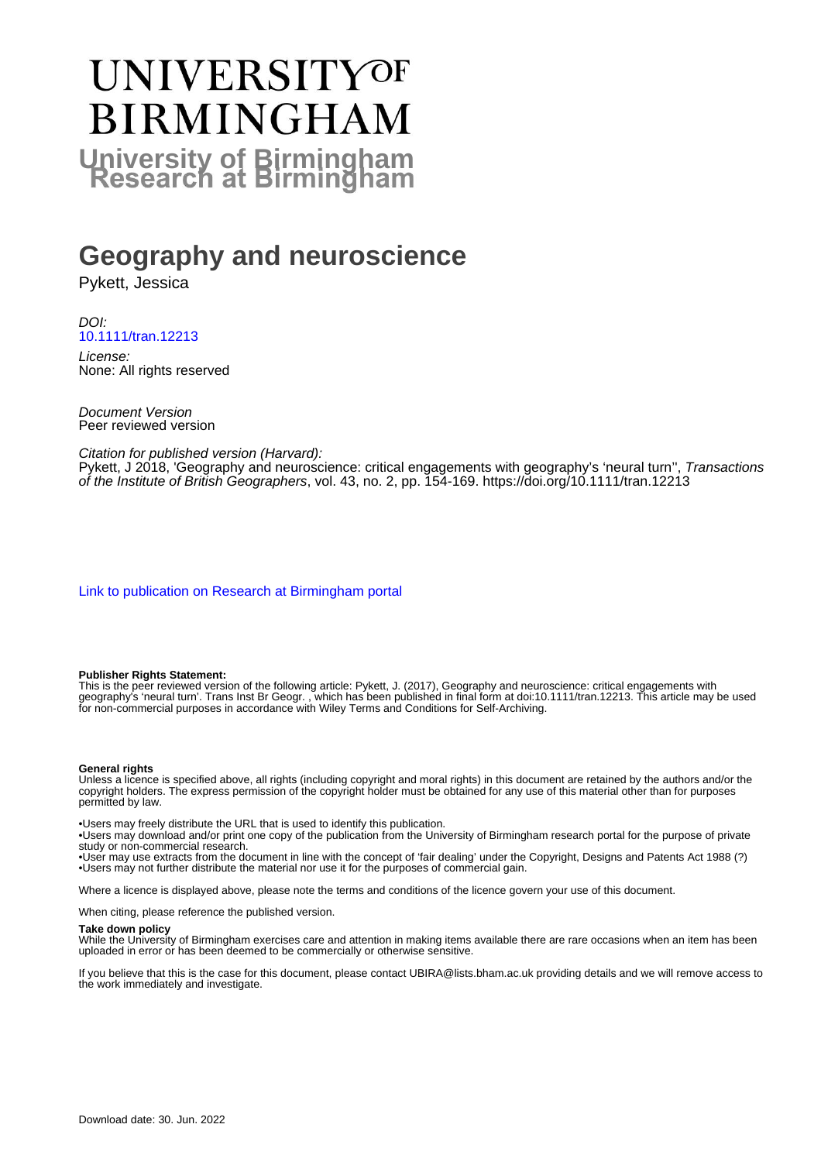# UNIVERSITYOF **BIRMINGHAM University of Birmingham**

# **Geography and neuroscience**

Pykett, Jessica

DOI: [10.1111/tran.12213](https://doi.org/10.1111/tran.12213)

License: None: All rights reserved

Document Version Peer reviewed version

Citation for published version (Harvard):

Pykett, J 2018, 'Geography and neuroscience: critical engagements with geography's 'neural turn'', Transactions of the Institute of British Geographers, vol. 43, no. 2, pp. 154-169. <https://doi.org/10.1111/tran.12213>

[Link to publication on Research at Birmingham portal](https://birmingham.elsevierpure.com/en/publications/867092a0-b620-48f9-abbf-ad376b1d885f)

#### **Publisher Rights Statement:**

This is the peer reviewed version of the following article: Pykett, J. (2017), Geography and neuroscience: critical engagements with geography's 'neural turn'. Trans Inst Br Geogr. , which has been published in final form at doi:10.1111/tran.12213. This article may be used for non-commercial purposes in accordance with Wiley Terms and Conditions for Self-Archiving.

#### **General rights**

Unless a licence is specified above, all rights (including copyright and moral rights) in this document are retained by the authors and/or the copyright holders. The express permission of the copyright holder must be obtained for any use of this material other than for purposes permitted by law.

• Users may freely distribute the URL that is used to identify this publication.

• Users may download and/or print one copy of the publication from the University of Birmingham research portal for the purpose of private study or non-commercial research.

• User may use extracts from the document in line with the concept of 'fair dealing' under the Copyright, Designs and Patents Act 1988 (?) • Users may not further distribute the material nor use it for the purposes of commercial gain.

Where a licence is displayed above, please note the terms and conditions of the licence govern your use of this document.

When citing, please reference the published version.

#### **Take down policy**

While the University of Birmingham exercises care and attention in making items available there are rare occasions when an item has been uploaded in error or has been deemed to be commercially or otherwise sensitive.

If you believe that this is the case for this document, please contact UBIRA@lists.bham.ac.uk providing details and we will remove access to the work immediately and investigate.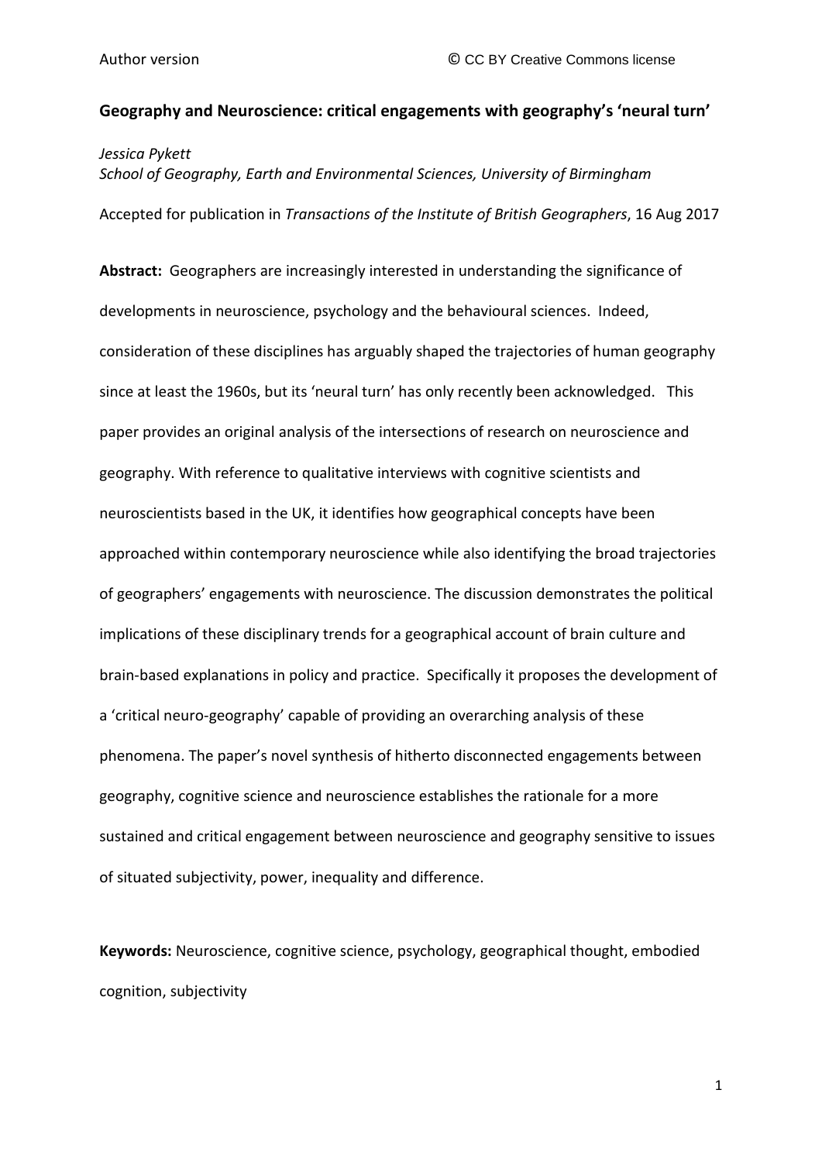# **Geography and Neuroscience: critical engagements with geography's 'neural turn'**

*Jessica Pykett*

*School of Geography, Earth and Environmental Sciences, University of Birmingham* Accepted for publication in *Transactions of the Institute of British Geographers*, 16 Aug 2017

**Abstract:** Geographers are increasingly interested in understanding the significance of developments in neuroscience, psychology and the behavioural sciences. Indeed, consideration of these disciplines has arguably shaped the trajectories of human geography since at least the 1960s, but its 'neural turn' has only recently been acknowledged. This paper provides an original analysis of the intersections of research on neuroscience and geography. With reference to qualitative interviews with cognitive scientists and neuroscientists based in the UK, it identifies how geographical concepts have been approached within contemporary neuroscience while also identifying the broad trajectories of geographers' engagements with neuroscience. The discussion demonstrates the political implications of these disciplinary trends for a geographical account of brain culture and brain-based explanations in policy and practice. Specifically it proposes the development of a 'critical neuro-geography' capable of providing an overarching analysis of these phenomena. The paper's novel synthesis of hitherto disconnected engagements between geography, cognitive science and neuroscience establishes the rationale for a more sustained and critical engagement between neuroscience and geography sensitive to issues of situated subjectivity, power, inequality and difference.

**Keywords:** Neuroscience, cognitive science, psychology, geographical thought, embodied cognition, subjectivity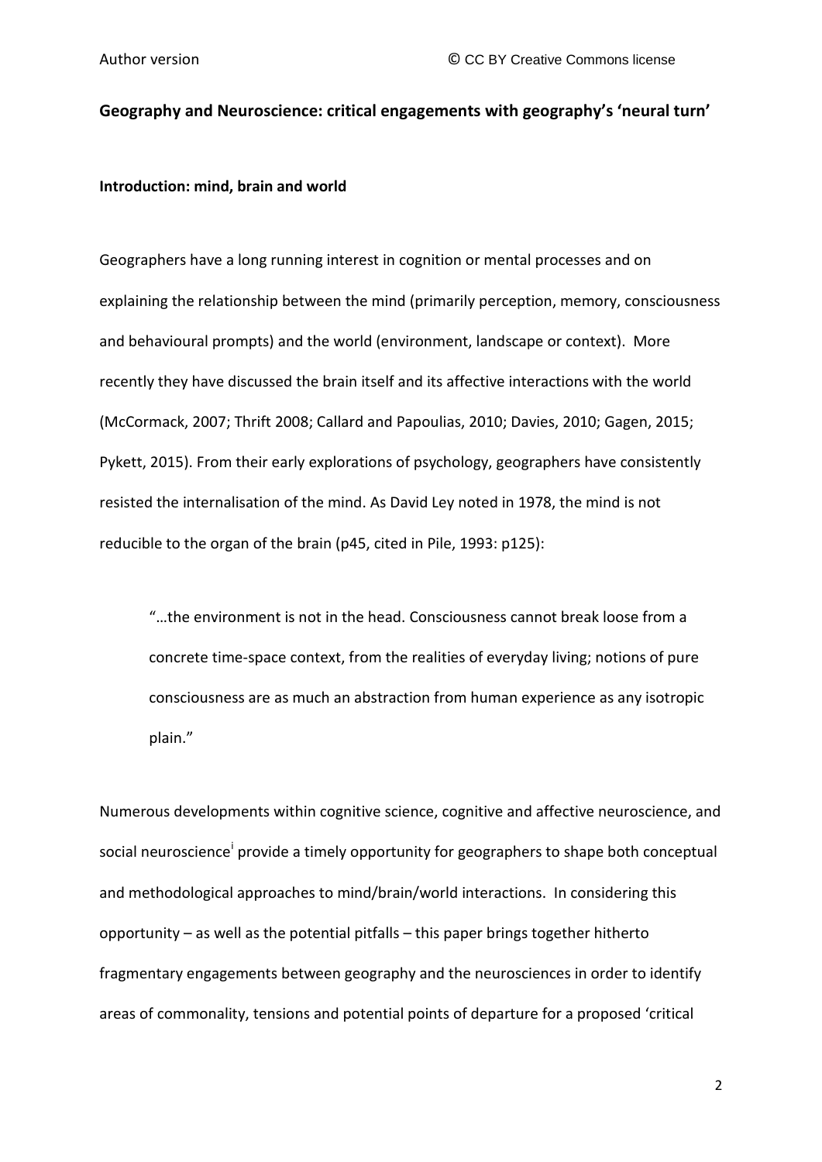# **Geography and Neuroscience: critical engagements with geography's 'neural turn'**

**Introduction: mind, brain and world**

Geographers have a long running interest in cognition or mental processes and on explaining the relationship between the mind (primarily perception, memory, consciousness and behavioural prompts) and the world (environment, landscape or context). More recently they have discussed the brain itself and its affective interactions with the world (McCormack, 2007; Thrift 2008; Callard and Papoulias, 2010; Davies, 2010; Gagen, 2015; Pykett, 2015). From their early explorations of psychology, geographers have consistently resisted the internalisation of the mind. As David Ley noted in 1978, the mind is not reducible to the organ of the brain (p45, cited in Pile, 1993: p125):

"…the environment is not in the head. Consciousness cannot break loose from a concrete time-space context, from the realities of everyday living; notions of pure consciousness are as much an abstraction from human experience as any isotropic plain."

Numerous developments within cognitive science, cognitive and affective neuroscience, and soc[i](#page-44-0)al neuroscience<sup>i</sup> provide a timely opportunity for geographers to shape both conceptual and methodological approaches to mind/brain/world interactions. In considering this opportunity – as well as the potential pitfalls – this paper brings together hitherto fragmentary engagements between geography and the neurosciences in order to identify areas of commonality, tensions and potential points of departure for a proposed 'critical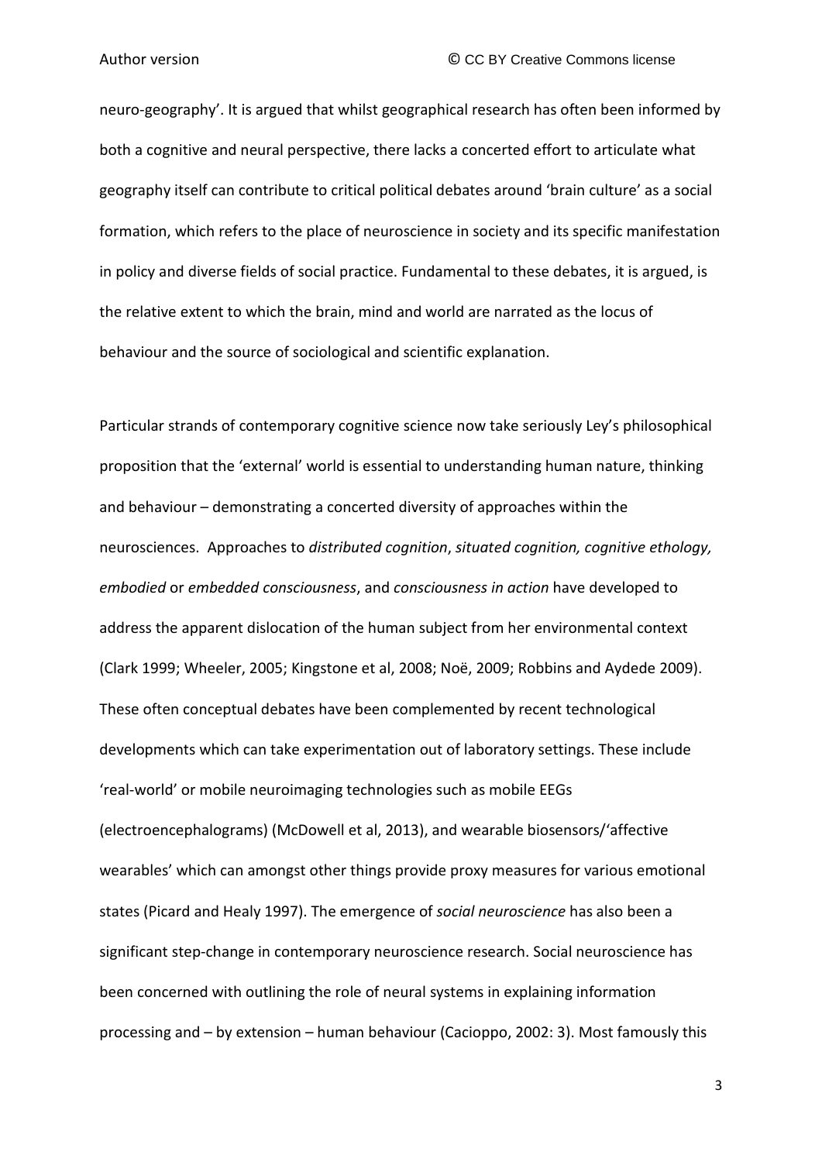neuro-geography'. It is argued that whilst geographical research has often been informed by both a cognitive and neural perspective, there lacks a concerted effort to articulate what geography itself can contribute to critical political debates around 'brain culture' as a social formation, which refers to the place of neuroscience in society and its specific manifestation in policy and diverse fields of social practice. Fundamental to these debates, it is argued, is the relative extent to which the brain, mind and world are narrated as the locus of behaviour and the source of sociological and scientific explanation.

Particular strands of contemporary cognitive science now take seriously Ley's philosophical proposition that the 'external' world is essential to understanding human nature, thinking and behaviour – demonstrating a concerted diversity of approaches within the neurosciences. Approaches to *distributed cognition*, *situated cognition, cognitive ethology, embodied* or *embedded consciousness*, and *consciousness in action* have developed to address the apparent dislocation of the human subject from her environmental context (Clark 1999; Wheeler, 2005; Kingstone et al, 2008; Noë, 2009; Robbins and Aydede 2009). These often conceptual debates have been complemented by recent technological developments which can take experimentation out of laboratory settings. These include 'real-world' or mobile neuroimaging technologies such as mobile EEGs (electroencephalograms) (McDowell et al, 2013), and wearable biosensors/'affective wearables' which can amongst other things provide proxy measures for various emotional states (Picard and Healy 1997). The emergence of *social neuroscience* has also been a significant step-change in contemporary neuroscience research. Social neuroscience has been concerned with outlining the role of neural systems in explaining information processing and – by extension – human behaviour (Cacioppo, 2002: 3). Most famously this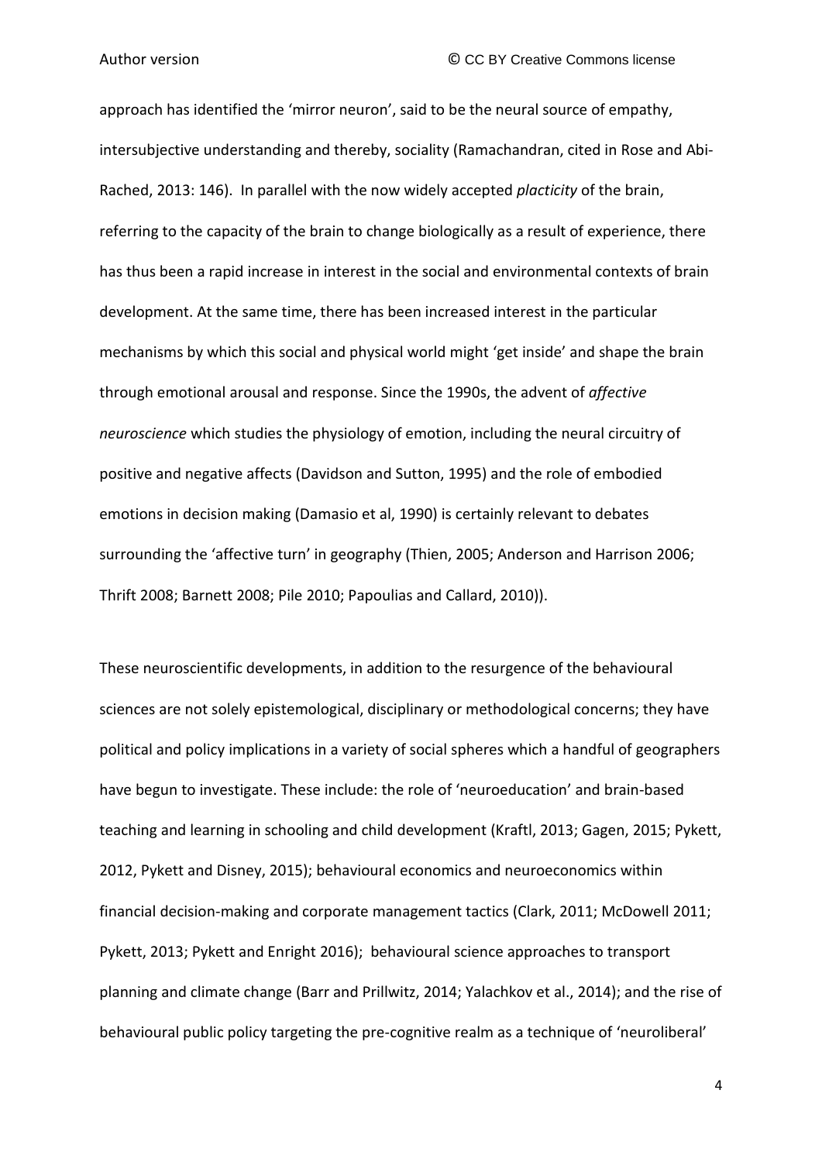approach has identified the 'mirror neuron', said to be the neural source of empathy, intersubjective understanding and thereby, sociality (Ramachandran, cited in Rose and Abi-Rached, 2013: 146). In parallel with the now widely accepted *placticity* of the brain, referring to the capacity of the brain to change biologically as a result of experience, there has thus been a rapid increase in interest in the social and environmental contexts of brain development. At the same time, there has been increased interest in the particular mechanisms by which this social and physical world might 'get inside' and shape the brain through emotional arousal and response. Since the 1990s, the advent of *affective neuroscience* which studies the physiology of emotion, including the neural circuitry of positive and negative affects (Davidson and Sutton, 1995) and the role of embodied emotions in decision making (Damasio et al, 1990) is certainly relevant to debates surrounding the 'affective turn' in geography (Thien, 2005; Anderson and Harrison 2006; Thrift 2008; Barnett 2008; Pile 2010; Papoulias and Callard, 2010)).

These neuroscientific developments, in addition to the resurgence of the behavioural sciences are not solely epistemological, disciplinary or methodological concerns; they have political and policy implications in a variety of social spheres which a handful of geographers have begun to investigate. These include: the role of 'neuroeducation' and brain-based teaching and learning in schooling and child development (Kraftl, 2013; Gagen, 2015; Pykett, 2012, Pykett and Disney, 2015); behavioural economics and neuroeconomics within financial decision-making and corporate management tactics (Clark, 2011; McDowell 2011; Pykett, 2013; Pykett and Enright 2016); behavioural science approaches to transport planning and climate change (Barr and Prillwitz, 2014; Yalachkov et al., 2014); and the rise of behavioural public policy targeting the pre-cognitive realm as a technique of 'neuroliberal'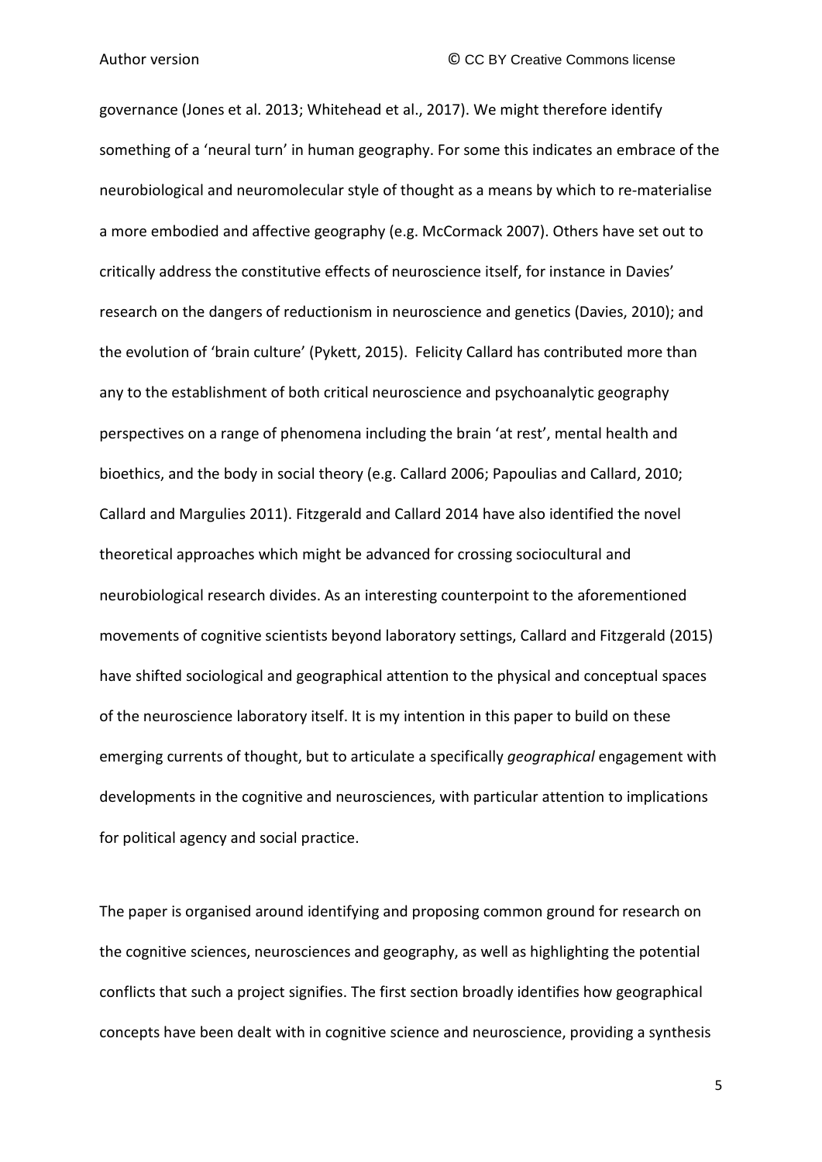governance (Jones et al. 2013; Whitehead et al., 2017). We might therefore identify something of a 'neural turn' in human geography. For some this indicates an embrace of the neurobiological and neuromolecular style of thought as a means by which to re-materialise a more embodied and affective geography (e.g. McCormack 2007). Others have set out to critically address the constitutive effects of neuroscience itself, for instance in Davies' research on the dangers of reductionism in neuroscience and genetics (Davies, 2010); and the evolution of 'brain culture' (Pykett, 2015). Felicity Callard has contributed more than any to the establishment of both critical neuroscience and psychoanalytic geography perspectives on a range of phenomena including the brain 'at rest', mental health and bioethics, and the body in social theory (e.g. Callard 2006; Papoulias and Callard, 2010; Callard and Margulies 2011). Fitzgerald and Callard 2014 have also identified the novel theoretical approaches which might be advanced for crossing sociocultural and neurobiological research divides. As an interesting counterpoint to the aforementioned movements of cognitive scientists beyond laboratory settings, Callard and Fitzgerald (2015) have shifted sociological and geographical attention to the physical and conceptual spaces of the neuroscience laboratory itself. It is my intention in this paper to build on these emerging currents of thought, but to articulate a specifically *geographical* engagement with developments in the cognitive and neurosciences, with particular attention to implications for political agency and social practice.

The paper is organised around identifying and proposing common ground for research on the cognitive sciences, neurosciences and geography, as well as highlighting the potential conflicts that such a project signifies. The first section broadly identifies how geographical concepts have been dealt with in cognitive science and neuroscience, providing a synthesis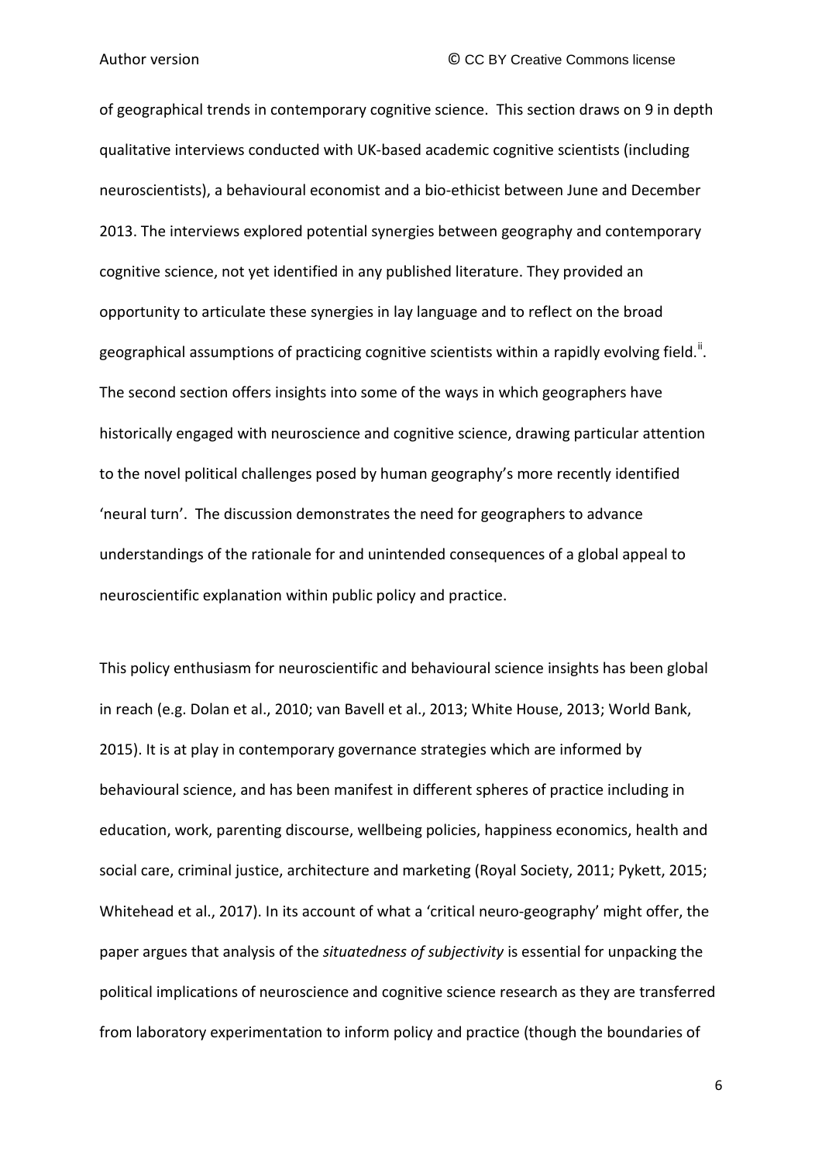of geographical trends in contemporary cognitive science. This section draws on 9 in depth qualitative interviews conducted with UK-based academic cognitive scientists (including neuroscientists), a behavioural economist and a bio-ethicist between June and December 2013. The interviews explored potential synergies between geography and contemporary cognitive science, not yet identified in any published literature. They provided an opportunity to articulate these synergies in lay language and to reflect on the broad geographical assumptions of practicing cognitive scientists within a rapidly evolving field.<sup>[ii](#page-44-1)</sup>. The second section offers insights into some of the ways in which geographers have historically engaged with neuroscience and cognitive science, drawing particular attention to the novel political challenges posed by human geography's more recently identified 'neural turn'. The discussion demonstrates the need for geographers to advance understandings of the rationale for and unintended consequences of a global appeal to neuroscientific explanation within public policy and practice.

This policy enthusiasm for neuroscientific and behavioural science insights has been global in reach (e.g. Dolan et al., 2010; van Bavell et al., 2013; White House, 2013; World Bank, 2015). It is at play in contemporary governance strategies which are informed by behavioural science, and has been manifest in different spheres of practice including in education, work, parenting discourse, wellbeing policies, happiness economics, health and social care, criminal justice, architecture and marketing (Royal Society, 2011; Pykett, 2015; Whitehead et al., 2017). In its account of what a 'critical neuro-geography' might offer, the paper argues that analysis of the *situatedness of subjectivity* is essential for unpacking the political implications of neuroscience and cognitive science research as they are transferred from laboratory experimentation to inform policy and practice (though the boundaries of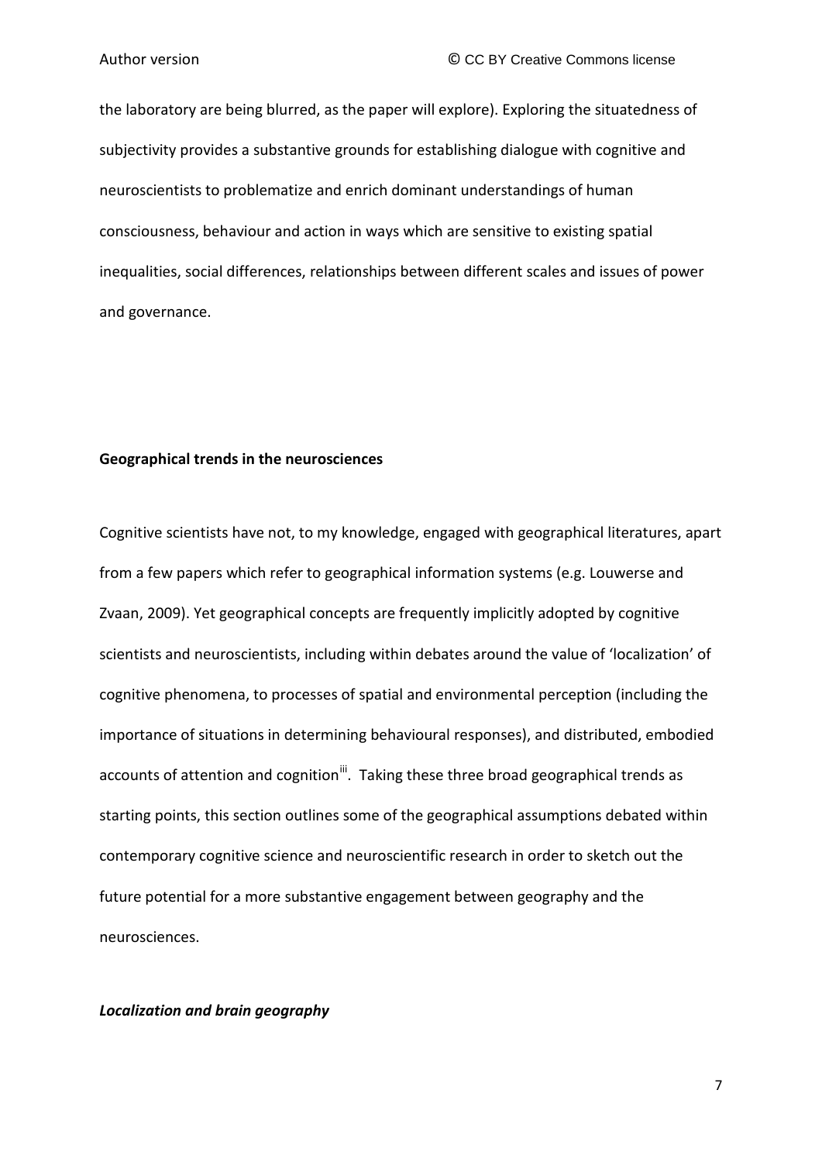the laboratory are being blurred, as the paper will explore). Exploring the situatedness of subjectivity provides a substantive grounds for establishing dialogue with cognitive and neuroscientists to problematize and enrich dominant understandings of human consciousness, behaviour and action in ways which are sensitive to existing spatial inequalities, social differences, relationships between different scales and issues of power and governance.

#### **Geographical trends in the neurosciences**

Cognitive scientists have not, to my knowledge, engaged with geographical literatures, apart from a few papers which refer to geographical information systems (e.g. Louwerse and Zvaan, 2009). Yet geographical concepts are frequently implicitly adopted by cognitive scientists and neuroscientists, including within debates around the value of 'localization' of cognitive phenomena, to processes of spatial and environmental perception (including the importance of situations in determining behavioural responses), and distributed, embodied accounts of attention and cognition<sup>[iii](#page-44-2)</sup>. Taking these three broad geographical trends as starting points, this section outlines some of the geographical assumptions debated within contemporary cognitive science and neuroscientific research in order to sketch out the future potential for a more substantive engagement between geography and the neurosciences.

### *Localization and brain geography*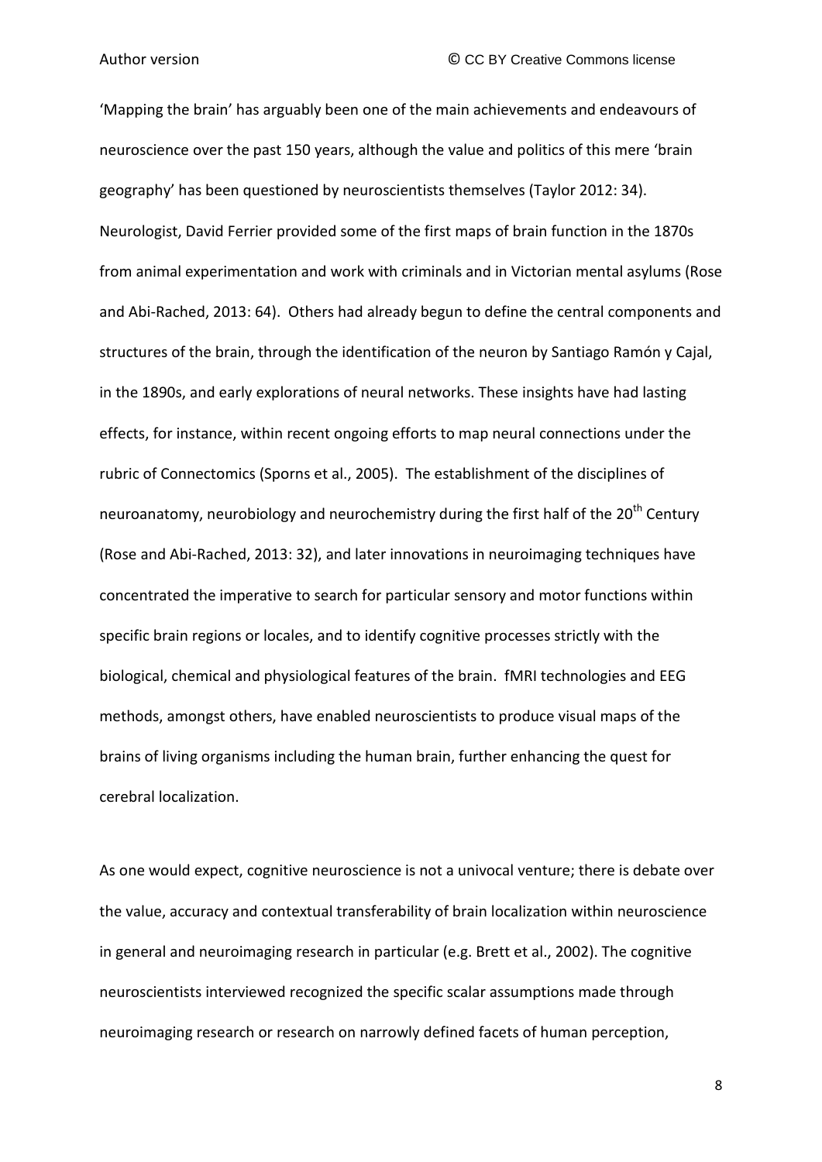'Mapping the brain' has arguably been one of the main achievements and endeavours of neuroscience over the past 150 years, although the value and politics of this mere 'brain geography' has been questioned by neuroscientists themselves (Taylor 2012: 34). Neurologist, David Ferrier provided some of the first maps of brain function in the 1870s from animal experimentation and work with criminals and in Victorian mental asylums (Rose and Abi-Rached, 2013: 64). Others had already begun to define the central components and structures of the brain, through the identification of the neuron by Santiago Ramón y Cajal, in the 1890s, and early explorations of neural networks. These insights have had lasting effects, for instance, within recent ongoing efforts to map neural connections under the rubric of Connectomics (Sporns et al., 2005). The establishment of the disciplines of neuroanatomy, neurobiology and neurochemistry during the first half of the  $20<sup>th</sup>$  Century (Rose and Abi-Rached, 2013: 32), and later innovations in neuroimaging techniques have concentrated the imperative to search for particular sensory and motor functions within specific brain regions or locales, and to identify cognitive processes strictly with the biological, chemical and physiological features of the brain. fMRI technologies and EEG methods, amongst others, have enabled neuroscientists to produce visual maps of the brains of living organisms including the human brain, further enhancing the quest for cerebral localization.

As one would expect, cognitive neuroscience is not a univocal venture; there is debate over the value, accuracy and contextual transferability of brain localization within neuroscience in general and neuroimaging research in particular (e.g. Brett et al., 2002). The cognitive neuroscientists interviewed recognized the specific scalar assumptions made through neuroimaging research or research on narrowly defined facets of human perception,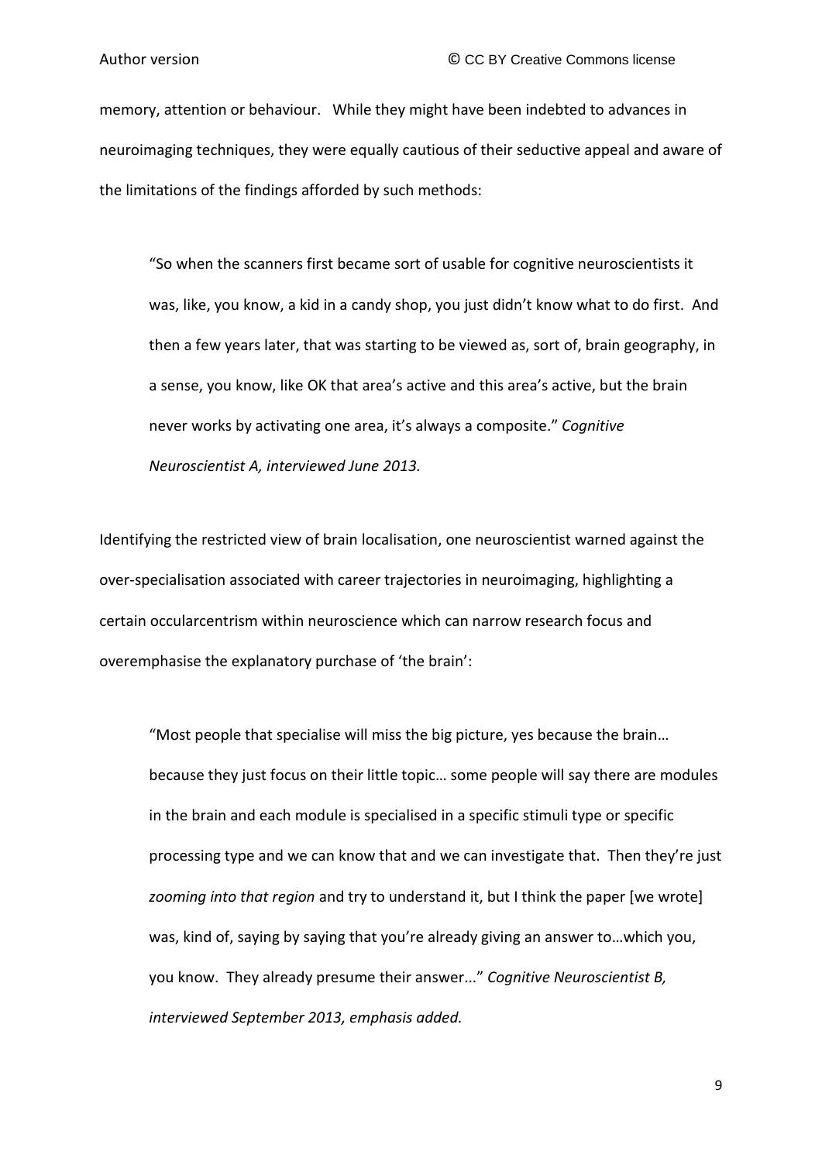memory, attention or behaviour. While they might have been indebted to advances in neuroimaging techniques, they were equally cautious of their seductive appeal and aware of the limitations of the findings afforded by such methods:

"So when the scanners first became sort of usable for cognitive neuroscientists it was, like, you know, a kid in a candy shop, you just didn't know what to do first. And then a few years later, that was starting to be viewed as, sort of, brain geography, in a sense, you know, like OK that area's active and this area's active, but the brain never works by activating one area, it's always a composite." *Cognitive Neuroscientist A, interviewed June 2013.*

Identifying the restricted view of brain localisation, one neuroscientist warned against the over-specialisation associated with career trajectories in neuroimaging, highlighting a certain occularcentrism within neuroscience which can narrow research focus and overemphasise the explanatory purchase of 'the brain':

"Most people that specialise will miss the big picture, yes because the brain… because they just focus on their little topic… some people will say there are modules in the brain and each module is specialised in a specific stimuli type or specific processing type and we can know that and we can investigate that. Then they're just *zooming into that region* and try to understand it, but I think the paper [we wrote] was, kind of, saying by saying that you're already giving an answer to…which you, you know. They already presume their answer..." *Cognitive Neuroscientist B, interviewed September 2013, emphasis added.*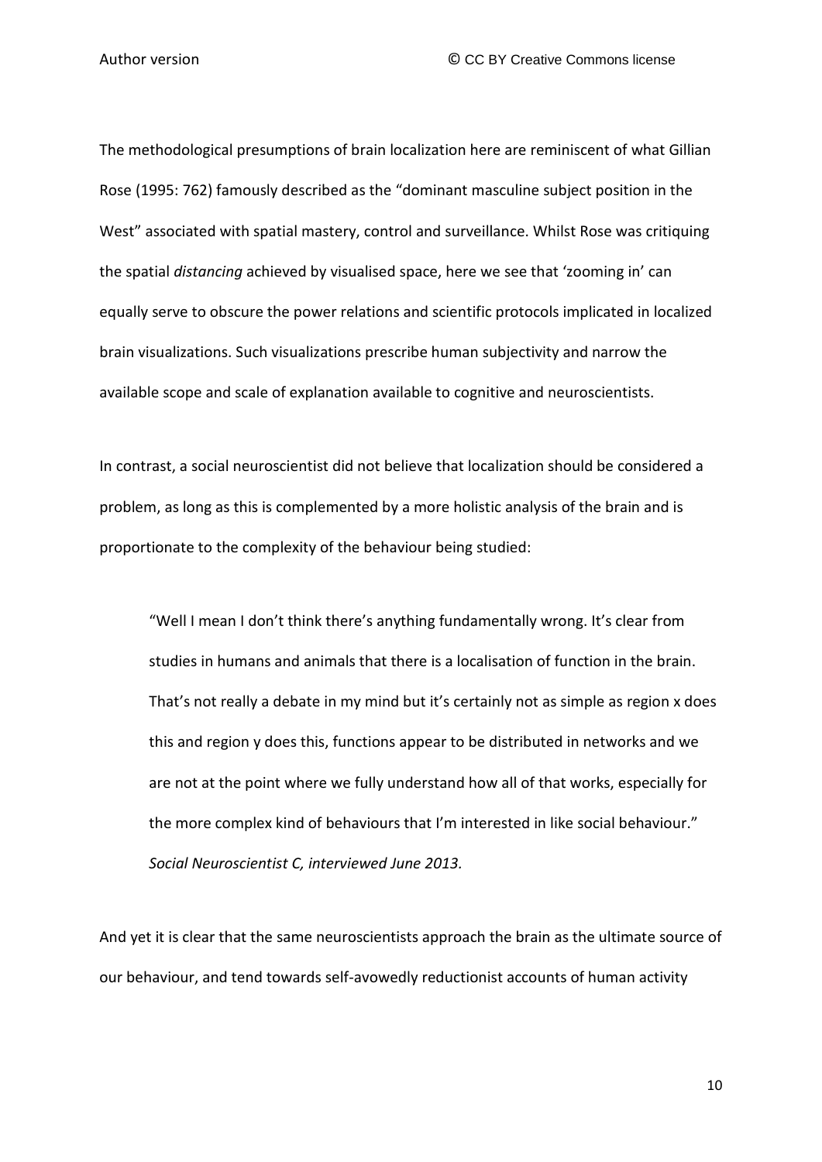The methodological presumptions of brain localization here are reminiscent of what Gillian Rose (1995: 762) famously described as the "dominant masculine subject position in the West" associated with spatial mastery, control and surveillance. Whilst Rose was critiquing the spatial *distancing* achieved by visualised space, here we see that 'zooming in' can equally serve to obscure the power relations and scientific protocols implicated in localized brain visualizations. Such visualizations prescribe human subjectivity and narrow the available scope and scale of explanation available to cognitive and neuroscientists.

In contrast, a social neuroscientist did not believe that localization should be considered a problem, as long as this is complemented by a more holistic analysis of the brain and is proportionate to the complexity of the behaviour being studied:

"Well I mean I don't think there's anything fundamentally wrong. It's clear from studies in humans and animals that there is a localisation of function in the brain. That's not really a debate in my mind but it's certainly not as simple as region x does this and region y does this, functions appear to be distributed in networks and we are not at the point where we fully understand how all of that works, especially for the more complex kind of behaviours that I'm interested in like social behaviour." *Social Neuroscientist C, interviewed June 2013.*

And yet it is clear that the same neuroscientists approach the brain as the ultimate source of our behaviour, and tend towards self-avowedly reductionist accounts of human activity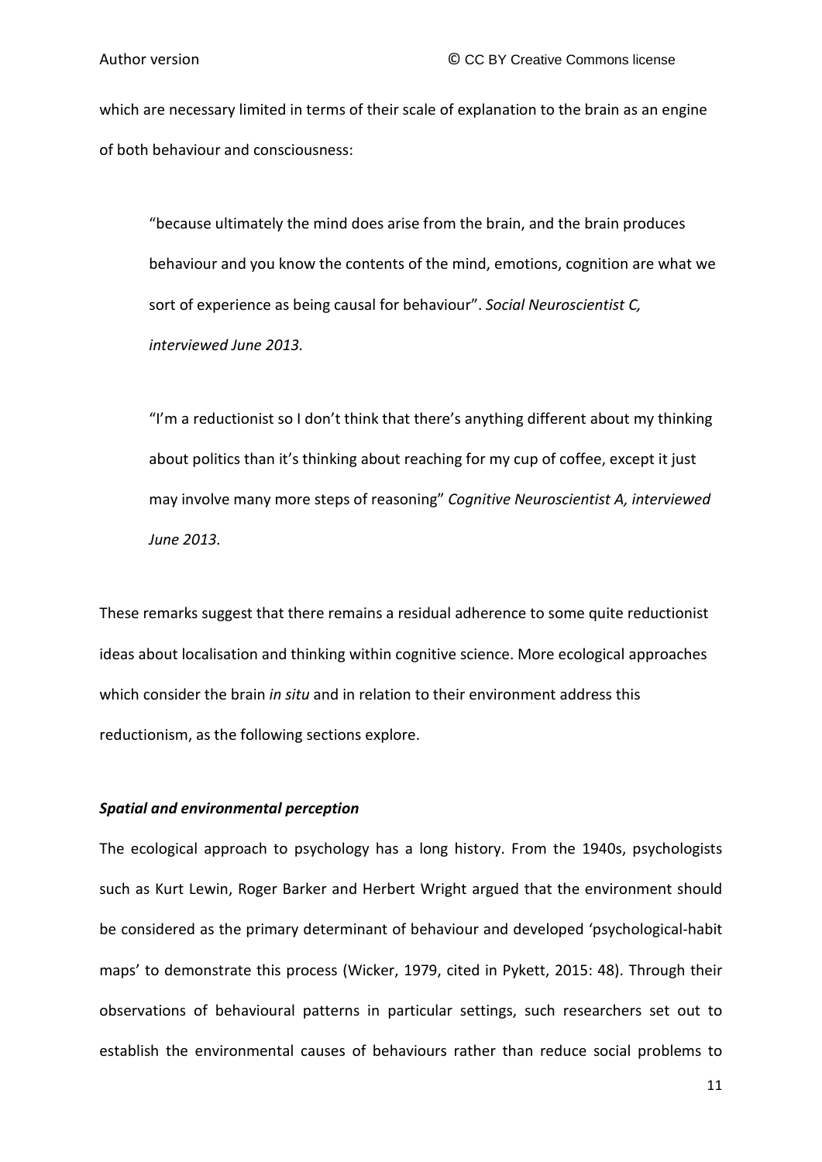which are necessary limited in terms of their scale of explanation to the brain as an engine of both behaviour and consciousness:

"because ultimately the mind does arise from the brain, and the brain produces behaviour and you know the contents of the mind, emotions, cognition are what we sort of experience as being causal for behaviour". *Social Neuroscientist C, interviewed June 2013.*

"I'm a reductionist so I don't think that there's anything different about my thinking about politics than it's thinking about reaching for my cup of coffee, except it just may involve many more steps of reasoning" *Cognitive Neuroscientist A, interviewed June 2013.*

These remarks suggest that there remains a residual adherence to some quite reductionist ideas about localisation and thinking within cognitive science. More ecological approaches which consider the brain *in situ* and in relation to their environment address this reductionism, as the following sections explore.

#### *Spatial and environmental perception*

The ecological approach to psychology has a long history. From the 1940s, psychologists such as Kurt Lewin, Roger Barker and Herbert Wright argued that the environment should be considered as the primary determinant of behaviour and developed 'psychological-habit maps' to demonstrate this process (Wicker, 1979, cited in Pykett, 2015: 48). Through their observations of behavioural patterns in particular settings, such researchers set out to establish the environmental causes of behaviours rather than reduce social problems to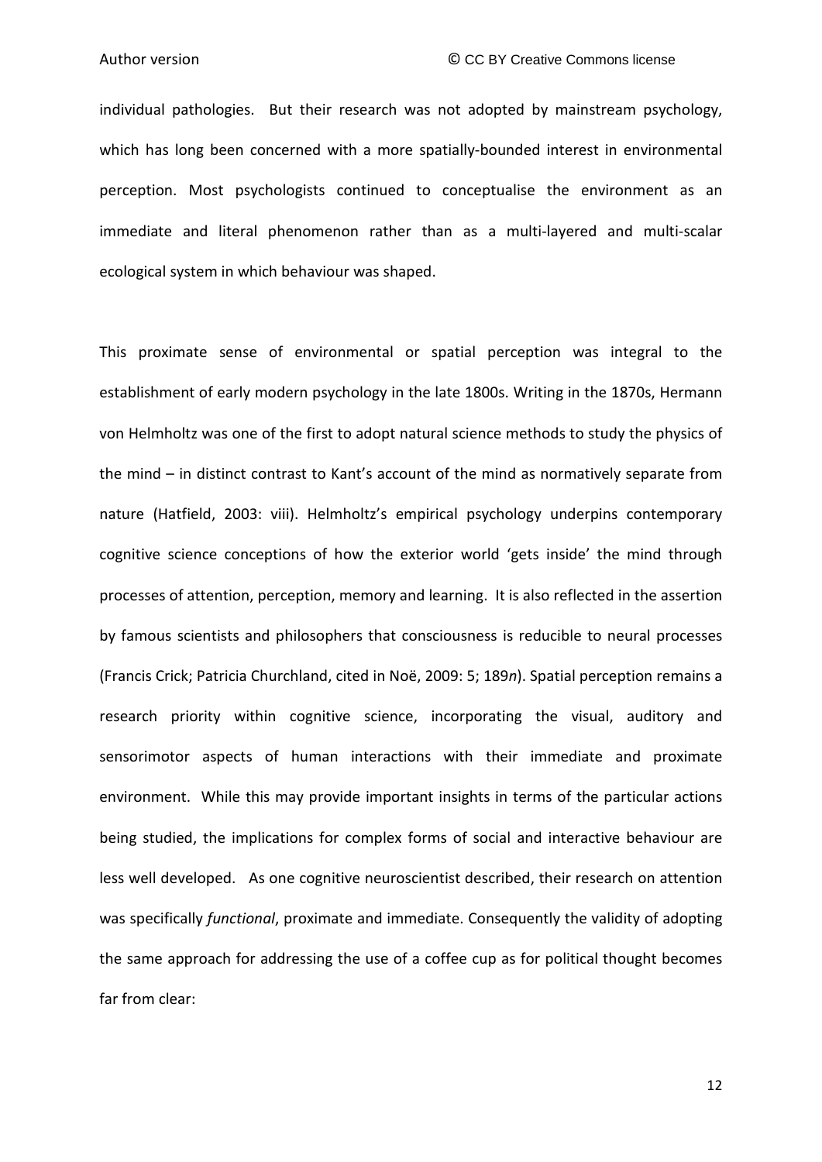individual pathologies. But their research was not adopted by mainstream psychology, which has long been concerned with a more spatially-bounded interest in environmental perception. Most psychologists continued to conceptualise the environment as an immediate and literal phenomenon rather than as a multi-layered and multi-scalar ecological system in which behaviour was shaped.

This proximate sense of environmental or spatial perception was integral to the establishment of early modern psychology in the late 1800s. Writing in the 1870s, Hermann von Helmholtz was one of the first to adopt natural science methods to study the physics of the mind – in distinct contrast to Kant's account of the mind as normatively separate from nature (Hatfield, 2003: viii). Helmholtz's empirical psychology underpins contemporary cognitive science conceptions of how the exterior world 'gets inside' the mind through processes of attention, perception, memory and learning. It is also reflected in the assertion by famous scientists and philosophers that consciousness is reducible to neural processes (Francis Crick; Patricia Churchland, cited in Noë, 2009: 5; 189*n*). Spatial perception remains a research priority within cognitive science, incorporating the visual, auditory and sensorimotor aspects of human interactions with their immediate and proximate environment. While this may provide important insights in terms of the particular actions being studied, the implications for complex forms of social and interactive behaviour are less well developed. As one cognitive neuroscientist described, their research on attention was specifically *functional*, proximate and immediate. Consequently the validity of adopting the same approach for addressing the use of a coffee cup as for political thought becomes far from clear: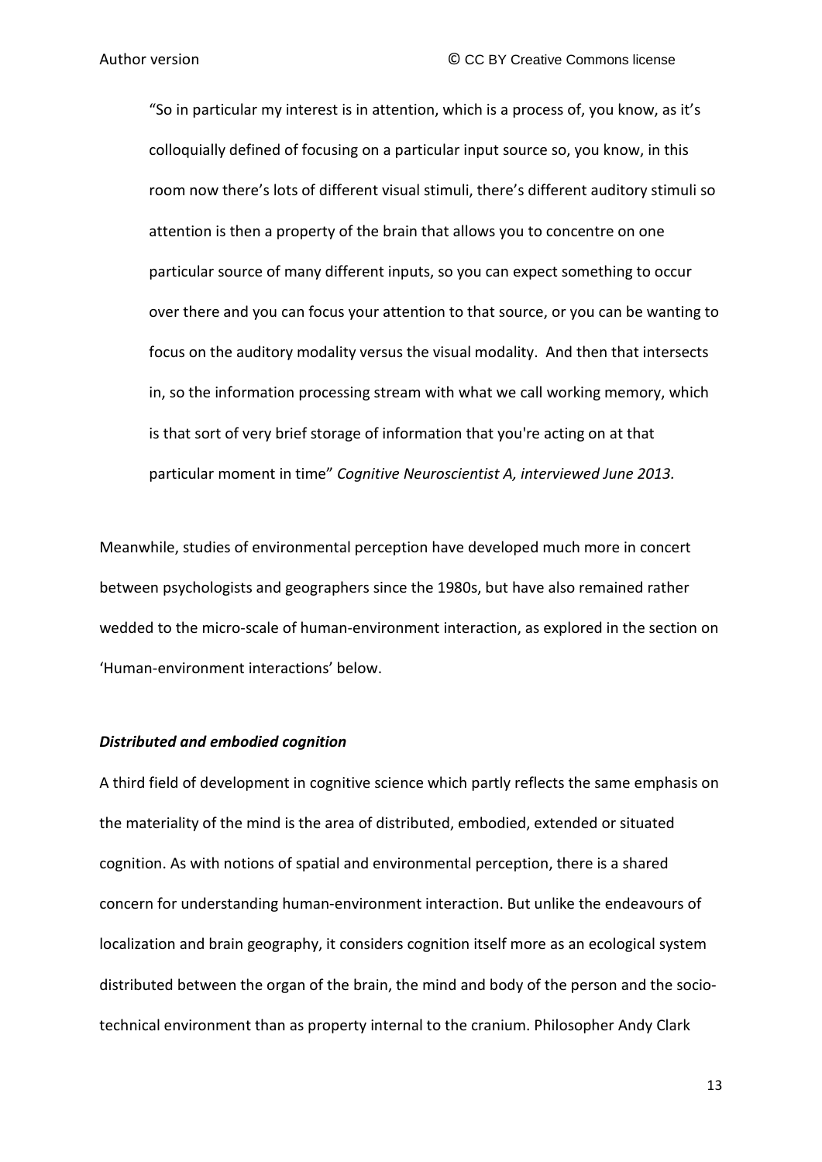"So in particular my interest is in attention, which is a process of, you know, as it's colloquially defined of focusing on a particular input source so, you know, in this room now there's lots of different visual stimuli, there's different auditory stimuli so attention is then a property of the brain that allows you to concentre on one particular source of many different inputs, so you can expect something to occur over there and you can focus your attention to that source, or you can be wanting to focus on the auditory modality versus the visual modality. And then that intersects in, so the information processing stream with what we call working memory, which is that sort of very brief storage of information that you're acting on at that particular moment in time" *Cognitive Neuroscientist A, interviewed June 2013.*

Meanwhile, studies of environmental perception have developed much more in concert between psychologists and geographers since the 1980s, but have also remained rather wedded to the micro-scale of human-environment interaction, as explored in the section on 'Human-environment interactions' below.

#### *Distributed and embodied cognition*

A third field of development in cognitive science which partly reflects the same emphasis on the materiality of the mind is the area of distributed, embodied, extended or situated cognition. As with notions of spatial and environmental perception, there is a shared concern for understanding human-environment interaction. But unlike the endeavours of localization and brain geography, it considers cognition itself more as an ecological system distributed between the organ of the brain, the mind and body of the person and the sociotechnical environment than as property internal to the cranium. Philosopher Andy Clark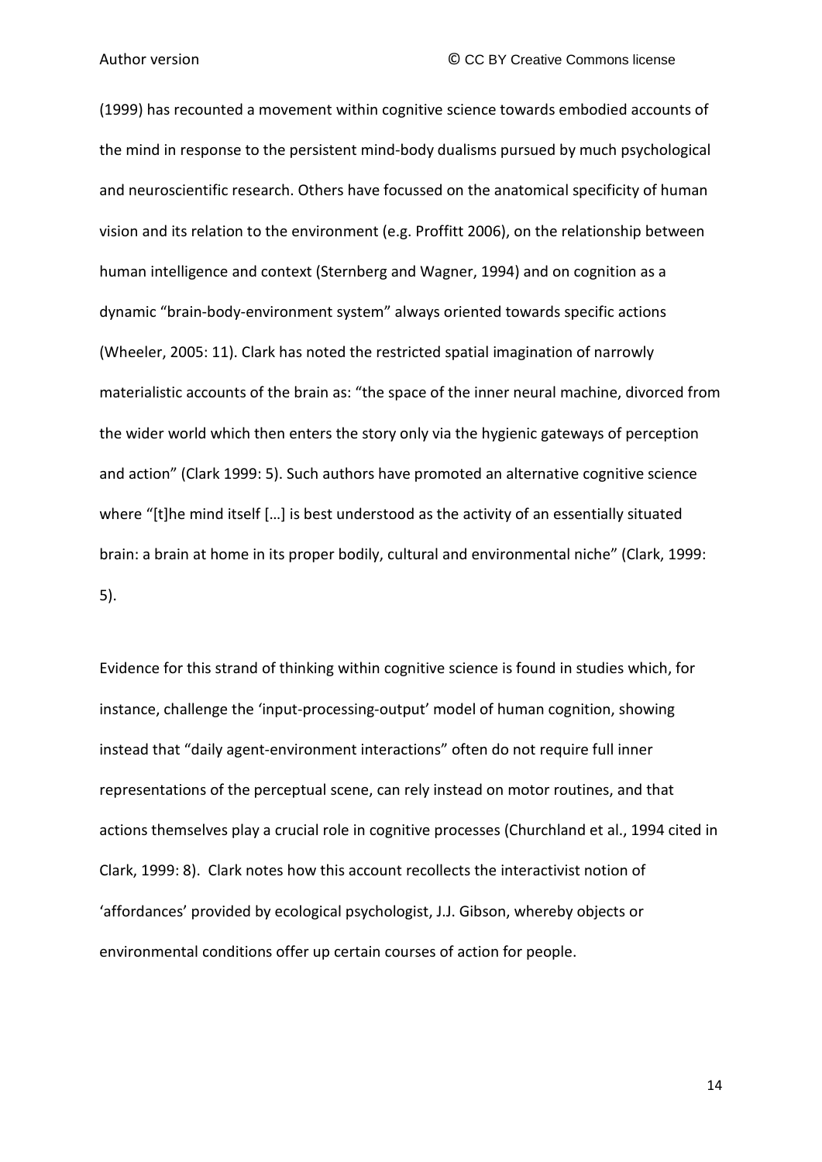(1999) has recounted a movement within cognitive science towards embodied accounts of the mind in response to the persistent mind-body dualisms pursued by much psychological and neuroscientific research. Others have focussed on the anatomical specificity of human vision and its relation to the environment (e.g. Proffitt 2006), on the relationship between human intelligence and context (Sternberg and Wagner, 1994) and on cognition as a dynamic "brain-body-environment system" always oriented towards specific actions (Wheeler, 2005: 11). Clark has noted the restricted spatial imagination of narrowly materialistic accounts of the brain as: "the space of the inner neural machine, divorced from the wider world which then enters the story only via the hygienic gateways of perception and action" (Clark 1999: 5). Such authors have promoted an alternative cognitive science where "[t]he mind itself […] is best understood as the activity of an essentially situated brain: a brain at home in its proper bodily, cultural and environmental niche" (Clark, 1999: 5).

Evidence for this strand of thinking within cognitive science is found in studies which, for instance, challenge the 'input-processing-output' model of human cognition, showing instead that "daily agent-environment interactions" often do not require full inner representations of the perceptual scene, can rely instead on motor routines, and that actions themselves play a crucial role in cognitive processes (Churchland et al., 1994 cited in Clark, 1999: 8). Clark notes how this account recollects the interactivist notion of 'affordances' provided by ecological psychologist, J.J. Gibson, whereby objects or environmental conditions offer up certain courses of action for people.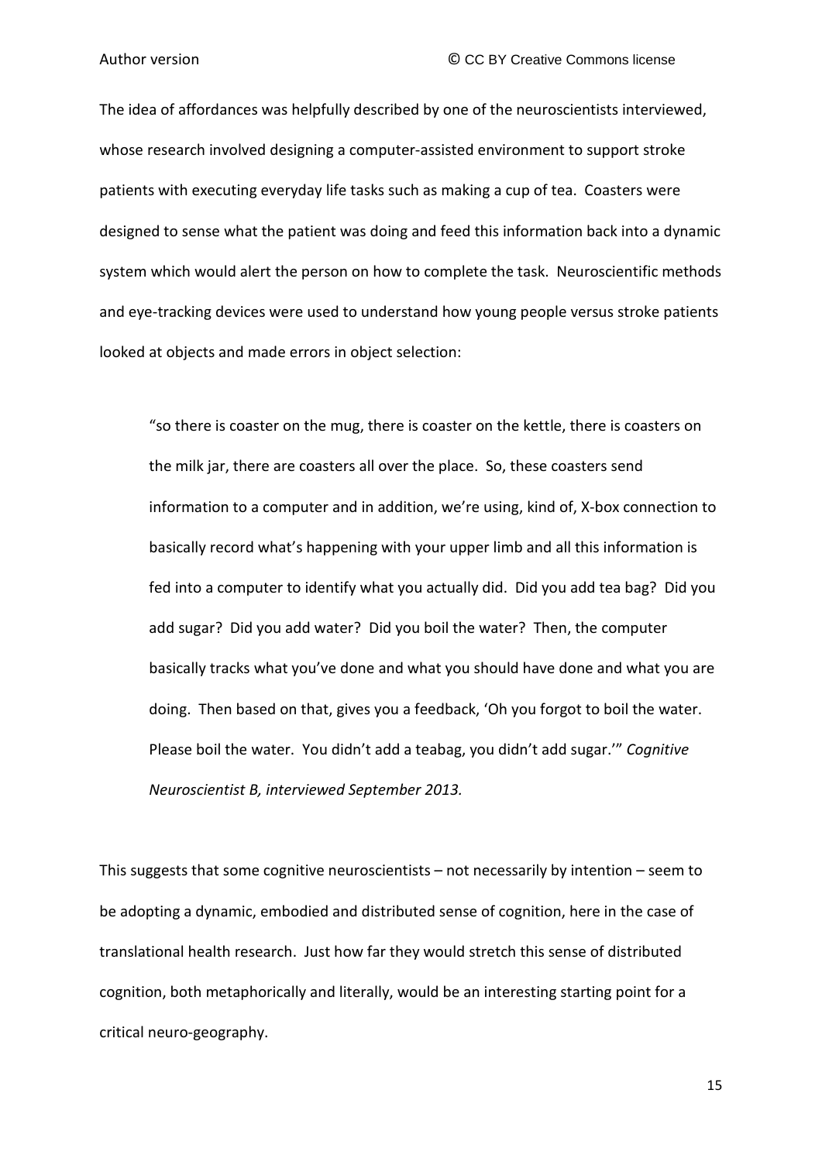The idea of affordances was helpfully described by one of the neuroscientists interviewed, whose research involved designing a computer-assisted environment to support stroke patients with executing everyday life tasks such as making a cup of tea. Coasters were designed to sense what the patient was doing and feed this information back into a dynamic system which would alert the person on how to complete the task. Neuroscientific methods and eye-tracking devices were used to understand how young people versus stroke patients looked at objects and made errors in object selection:

"so there is coaster on the mug, there is coaster on the kettle, there is coasters on the milk jar, there are coasters all over the place. So, these coasters send information to a computer and in addition, we're using, kind of, X-box connection to basically record what's happening with your upper limb and all this information is fed into a computer to identify what you actually did. Did you add tea bag? Did you add sugar? Did you add water? Did you boil the water? Then, the computer basically tracks what you've done and what you should have done and what you are doing. Then based on that, gives you a feedback, 'Oh you forgot to boil the water. Please boil the water. You didn't add a teabag, you didn't add sugar.'" *Cognitive Neuroscientist B, interviewed September 2013.*

This suggests that some cognitive neuroscientists – not necessarily by intention – seem to be adopting a dynamic, embodied and distributed sense of cognition, here in the case of translational health research. Just how far they would stretch this sense of distributed cognition, both metaphorically and literally, would be an interesting starting point for a critical neuro-geography.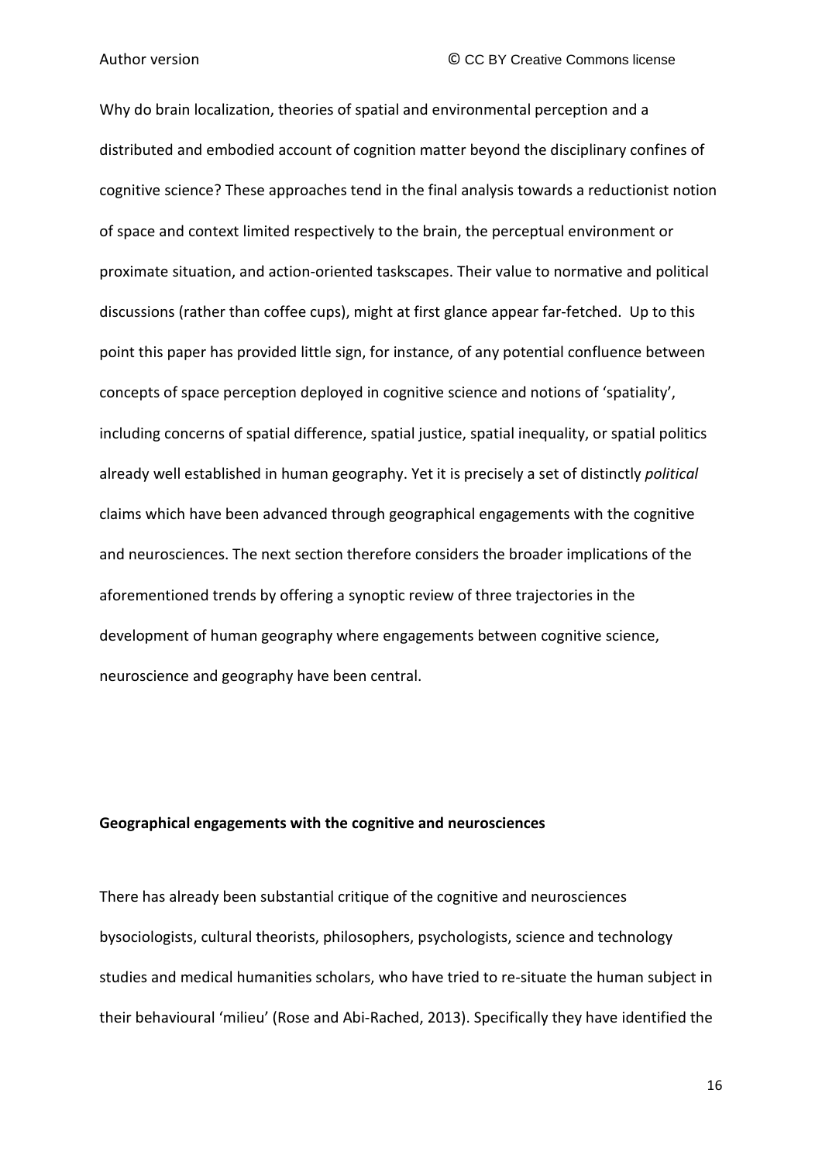Why do brain localization, theories of spatial and environmental perception and a distributed and embodied account of cognition matter beyond the disciplinary confines of cognitive science? These approaches tend in the final analysis towards a reductionist notion of space and context limited respectively to the brain, the perceptual environment or proximate situation, and action-oriented taskscapes. Their value to normative and political discussions (rather than coffee cups), might at first glance appear far-fetched. Up to this point this paper has provided little sign, for instance, of any potential confluence between concepts of space perception deployed in cognitive science and notions of 'spatiality', including concerns of spatial difference, spatial justice, spatial inequality, or spatial politics already well established in human geography. Yet it is precisely a set of distinctly *political* claims which have been advanced through geographical engagements with the cognitive and neurosciences. The next section therefore considers the broader implications of the aforementioned trends by offering a synoptic review of three trajectories in the development of human geography where engagements between cognitive science, neuroscience and geography have been central.

#### **Geographical engagements with the cognitive and neurosciences**

There has already been substantial critique of the cognitive and neurosciences bysociologists, cultural theorists, philosophers, psychologists, science and technology studies and medical humanities scholars, who have tried to re-situate the human subject in their behavioural 'milieu' (Rose and Abi-Rached, 2013). Specifically they have identified the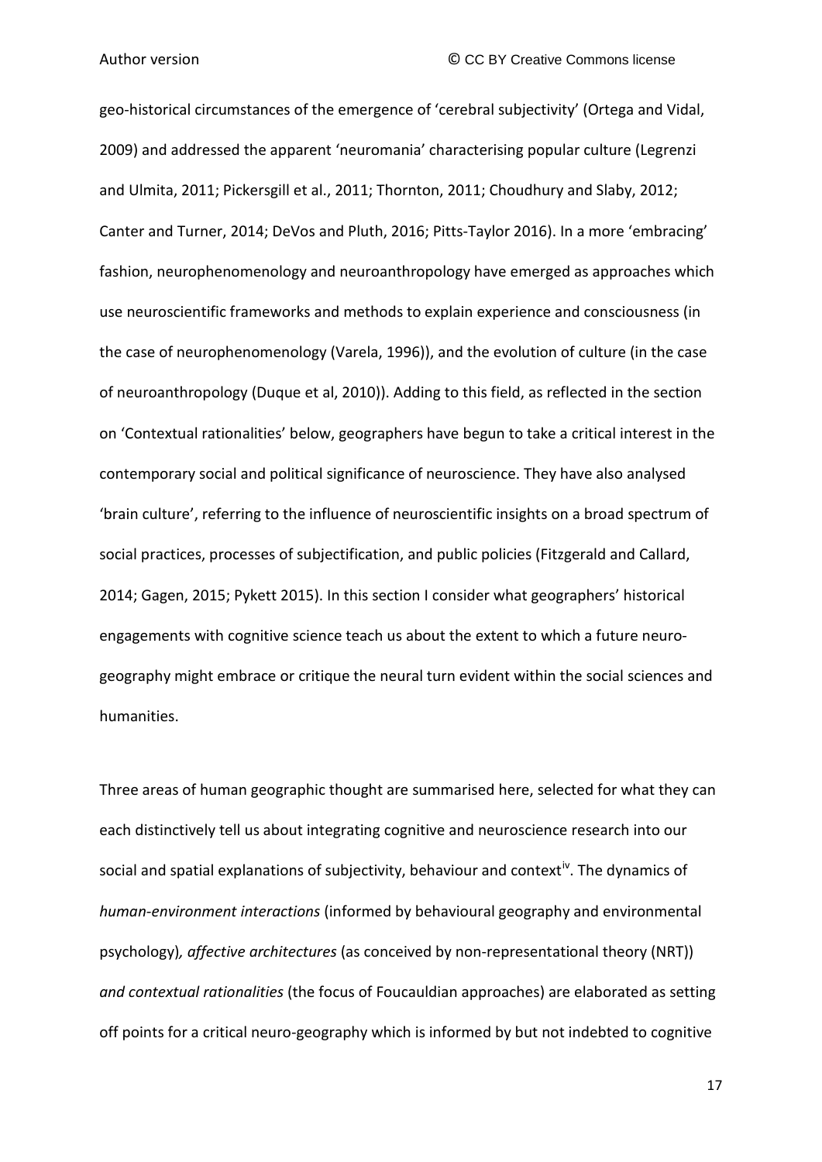geo-historical circumstances of the emergence of 'cerebral subjectivity' (Ortega and Vidal, 2009) and addressed the apparent 'neuromania' characterising popular culture (Legrenzi and Ulmita, 2011; Pickersgill et al., 2011; Thornton, 2011; Choudhury and Slaby, 2012; Canter and Turner, 2014; DeVos and Pluth, 2016; Pitts-Taylor 2016). In a more 'embracing' fashion, neurophenomenology and neuroanthropology have emerged as approaches which use neuroscientific frameworks and methods to explain experience and consciousness (in the case of neurophenomenology (Varela, 1996)), and the evolution of culture (in the case of neuroanthropology (Duque et al, 2010)). Adding to this field, as reflected in the section on 'Contextual rationalities' below, geographers have begun to take a critical interest in the contemporary social and political significance of neuroscience. They have also analysed 'brain culture', referring to the influence of neuroscientific insights on a broad spectrum of social practices, processes of subjectification, and public policies (Fitzgerald and Callard, 2014; Gagen, 2015; Pykett 2015). In this section I consider what geographers' historical engagements with cognitive science teach us about the extent to which a future neurogeography might embrace or critique the neural turn evident within the social sciences and humanities.

Three areas of human geographic thought are summarised here, selected for what they can each distinctively tell us about integrating cognitive and neuroscience research into our social and spatial explanations of subjectivity, behaviour and context<sup>iv</sup>. The dynamics of *human-environment interactions* (informed by behavioural geography and environmental psychology)*, affective architectures* (as conceived by non-representational theory (NRT)) *and contextual rationalities* (the focus of Foucauldian approaches) are elaborated as setting off points for a critical neuro-geography which is informed by but not indebted to cognitive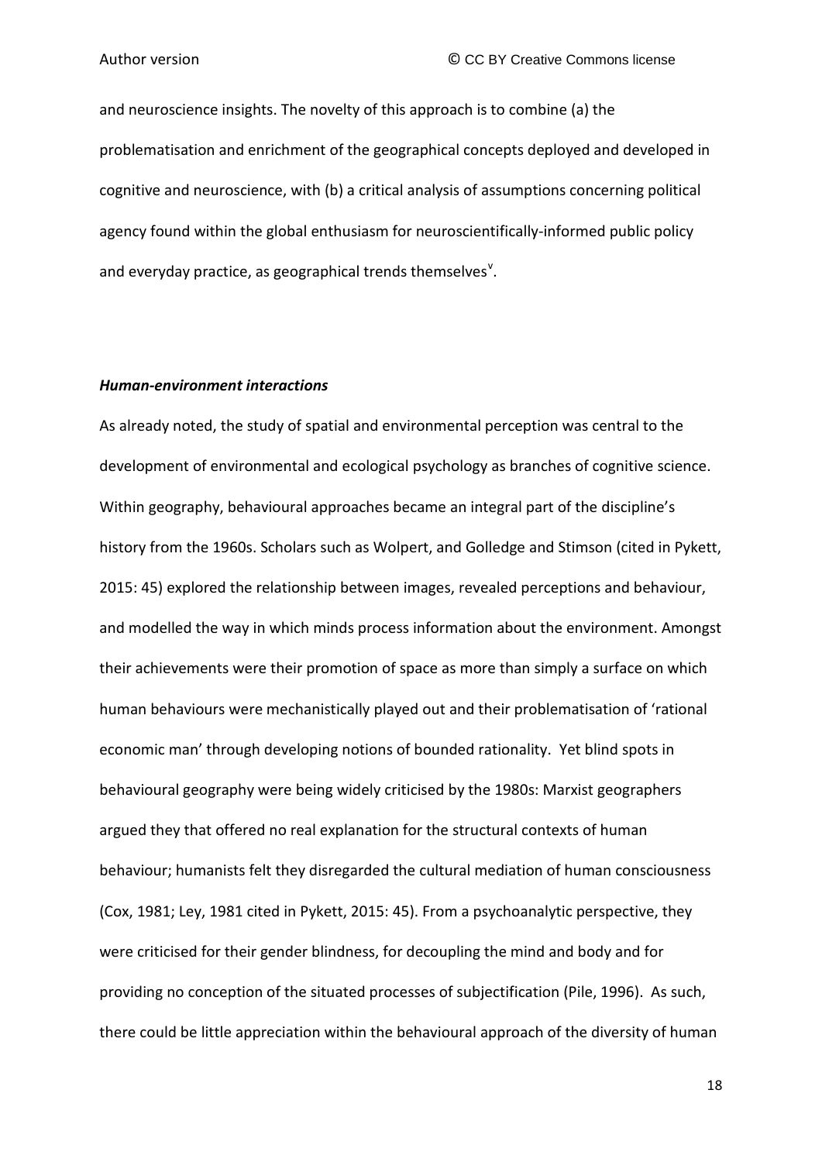and neuroscience insights. The novelty of this approach is to combine (a) the problematisation and enrichment of the geographical concepts deployed and developed in cognitive and neuroscience, with (b) a critical analysis of assumptions concerning political agency found within the global enthusiasm for neuroscientifically-informed public policy and e[v](#page-44-4)eryday practice, as geographical trends themselves<sup>v</sup>.

#### *Human-environment interactions*

As already noted, the study of spatial and environmental perception was central to the development of environmental and ecological psychology as branches of cognitive science. Within geography, behavioural approaches became an integral part of the discipline's history from the 1960s. Scholars such as Wolpert, and Golledge and Stimson (cited in Pykett, 2015: 45) explored the relationship between images, revealed perceptions and behaviour, and modelled the way in which minds process information about the environment. Amongst their achievements were their promotion of space as more than simply a surface on which human behaviours were mechanistically played out and their problematisation of 'rational economic man' through developing notions of bounded rationality. Yet blind spots in behavioural geography were being widely criticised by the 1980s: Marxist geographers argued they that offered no real explanation for the structural contexts of human behaviour; humanists felt they disregarded the cultural mediation of human consciousness (Cox, 1981; Ley, 1981 cited in Pykett, 2015: 45). From a psychoanalytic perspective, they were criticised for their gender blindness, for decoupling the mind and body and for providing no conception of the situated processes of subjectification (Pile, 1996). As such, there could be little appreciation within the behavioural approach of the diversity of human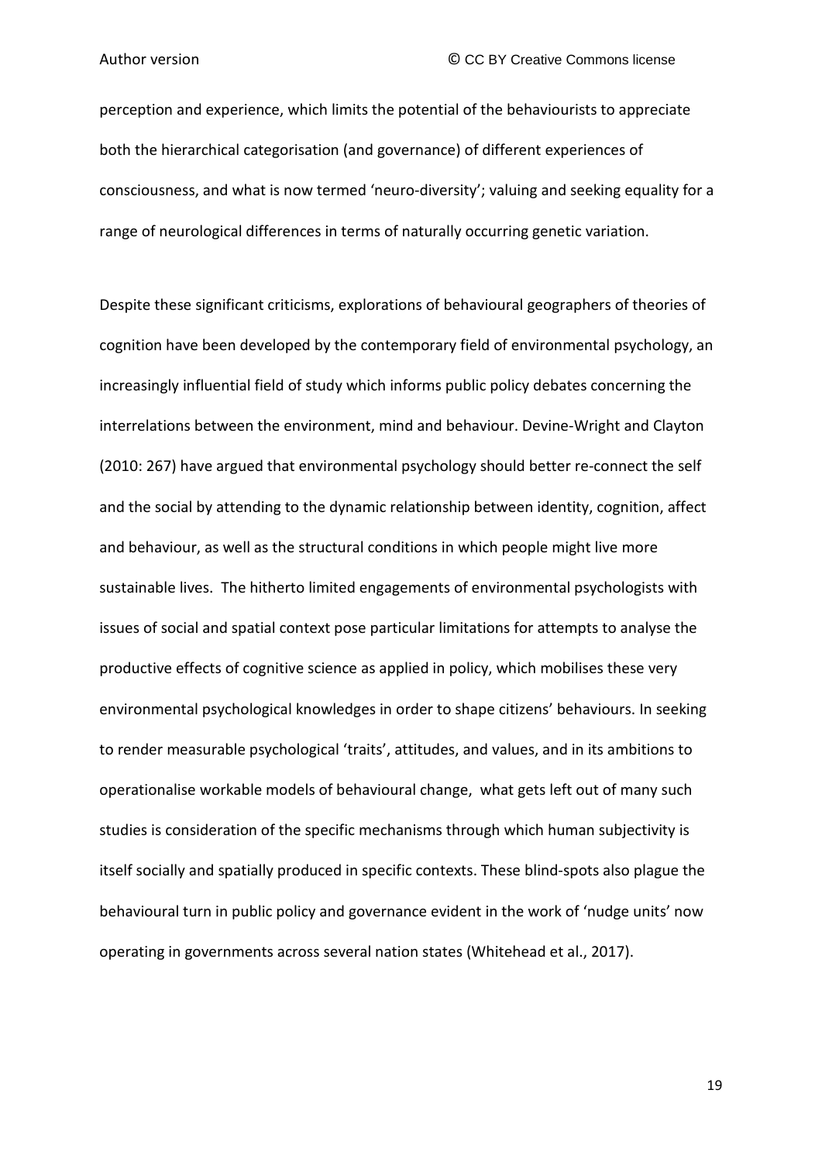perception and experience, which limits the potential of the behaviourists to appreciate both the hierarchical categorisation (and governance) of different experiences of consciousness, and what is now termed 'neuro-diversity'; valuing and seeking equality for a range of neurological differences in terms of naturally occurring genetic variation.

Despite these significant criticisms, explorations of behavioural geographers of theories of cognition have been developed by the contemporary field of environmental psychology, an increasingly influential field of study which informs public policy debates concerning the interrelations between the environment, mind and behaviour. Devine-Wright and Clayton (2010: 267) have argued that environmental psychology should better re-connect the self and the social by attending to the dynamic relationship between identity, cognition, affect and behaviour, as well as the structural conditions in which people might live more sustainable lives. The hitherto limited engagements of environmental psychologists with issues of social and spatial context pose particular limitations for attempts to analyse the productive effects of cognitive science as applied in policy, which mobilises these very environmental psychological knowledges in order to shape citizens' behaviours. In seeking to render measurable psychological 'traits', attitudes, and values, and in its ambitions to operationalise workable models of behavioural change, what gets left out of many such studies is consideration of the specific mechanisms through which human subjectivity is itself socially and spatially produced in specific contexts. These blind-spots also plague the behavioural turn in public policy and governance evident in the work of 'nudge units' now operating in governments across several nation states (Whitehead et al., 2017).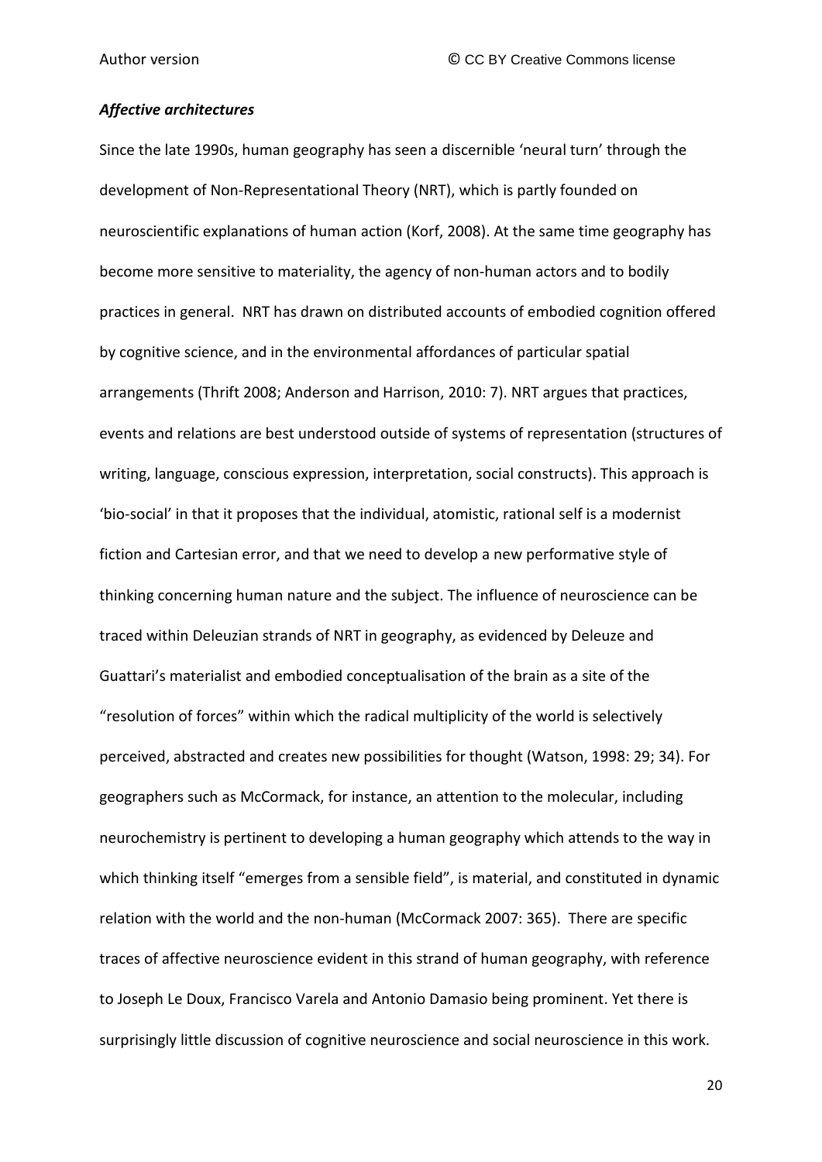#### *Affective architectures*

Since the late 1990s, human geography has seen a discernible 'neural turn' through the development of Non-Representational Theory (NRT), which is partly founded on neuroscientific explanations of human action (Korf, 2008). At the same time geography has become more sensitive to materiality, the agency of non-human actors and to bodily practices in general. NRT has drawn on distributed accounts of embodied cognition offered by cognitive science, and in the environmental affordances of particular spatial arrangements (Thrift 2008; Anderson and Harrison, 2010: 7). NRT argues that practices, events and relations are best understood outside of systems of representation (structures of writing, language, conscious expression, interpretation, social constructs). This approach is 'bio-social' in that it proposes that the individual, atomistic, rational self is a modernist fiction and Cartesian error, and that we need to develop a new performative style of thinking concerning human nature and the subject. The influence of neuroscience can be traced within Deleuzian strands of NRT in geography, as evidenced by Deleuze and Guattari's materialist and embodied conceptualisation of the brain as a site of the "resolution of forces" within which the radical multiplicity of the world is selectively perceived, abstracted and creates new possibilities for thought (Watson, 1998: 29; 34). For geographers such as McCormack, for instance, an attention to the molecular, including neurochemistry is pertinent to developing a human geography which attends to the way in which thinking itself "emerges from a sensible field", is material, and constituted in dynamic relation with the world and the non-human (McCormack 2007: 365). There are specific traces of affective neuroscience evident in this strand of human geography, with reference to Joseph Le Doux, Francisco Varela and Antonio Damasio being prominent. Yet there is surprisingly little discussion of cognitive neuroscience and social neuroscience in this work.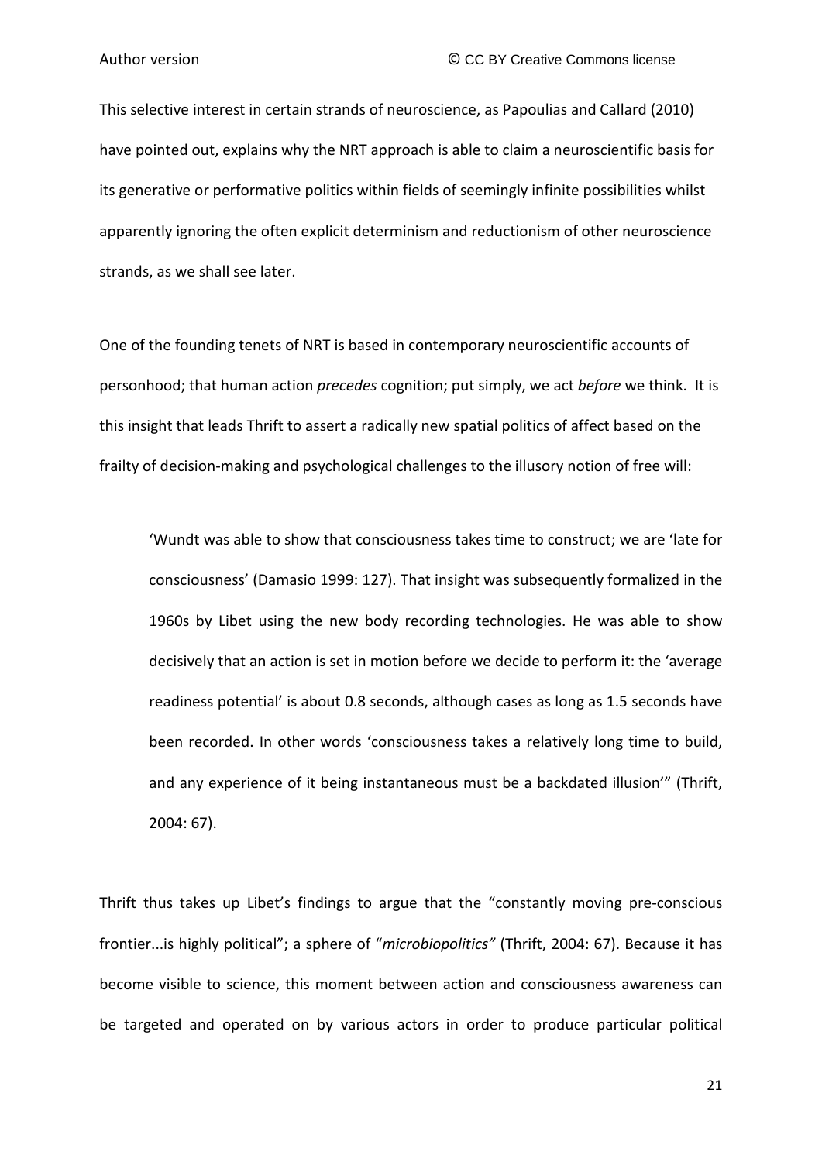This selective interest in certain strands of neuroscience, as Papoulias and Callard (2010) have pointed out, explains why the NRT approach is able to claim a neuroscientific basis for its generative or performative politics within fields of seemingly infinite possibilities whilst apparently ignoring the often explicit determinism and reductionism of other neuroscience strands, as we shall see later.

One of the founding tenets of NRT is based in contemporary neuroscientific accounts of personhood; that human action *precedes* cognition; put simply, we act *before* we think. It is this insight that leads Thrift to assert a radically new spatial politics of affect based on the frailty of decision-making and psychological challenges to the illusory notion of free will:

'Wundt was able to show that consciousness takes time to construct; we are 'late for consciousness' (Damasio 1999: 127). That insight was subsequently formalized in the 1960s by Libet using the new body recording technologies. He was able to show decisively that an action is set in motion before we decide to perform it: the 'average readiness potential' is about 0.8 seconds, although cases as long as 1.5 seconds have been recorded. In other words 'consciousness takes a relatively long time to build, and any experience of it being instantaneous must be a backdated illusion'" (Thrift, 2004: 67).

Thrift thus takes up Libet's findings to argue that the "constantly moving pre-conscious frontier...is highly political"; a sphere of "*microbiopolitics"* (Thrift, 2004: 67). Because it has become visible to science, this moment between action and consciousness awareness can be targeted and operated on by various actors in order to produce particular political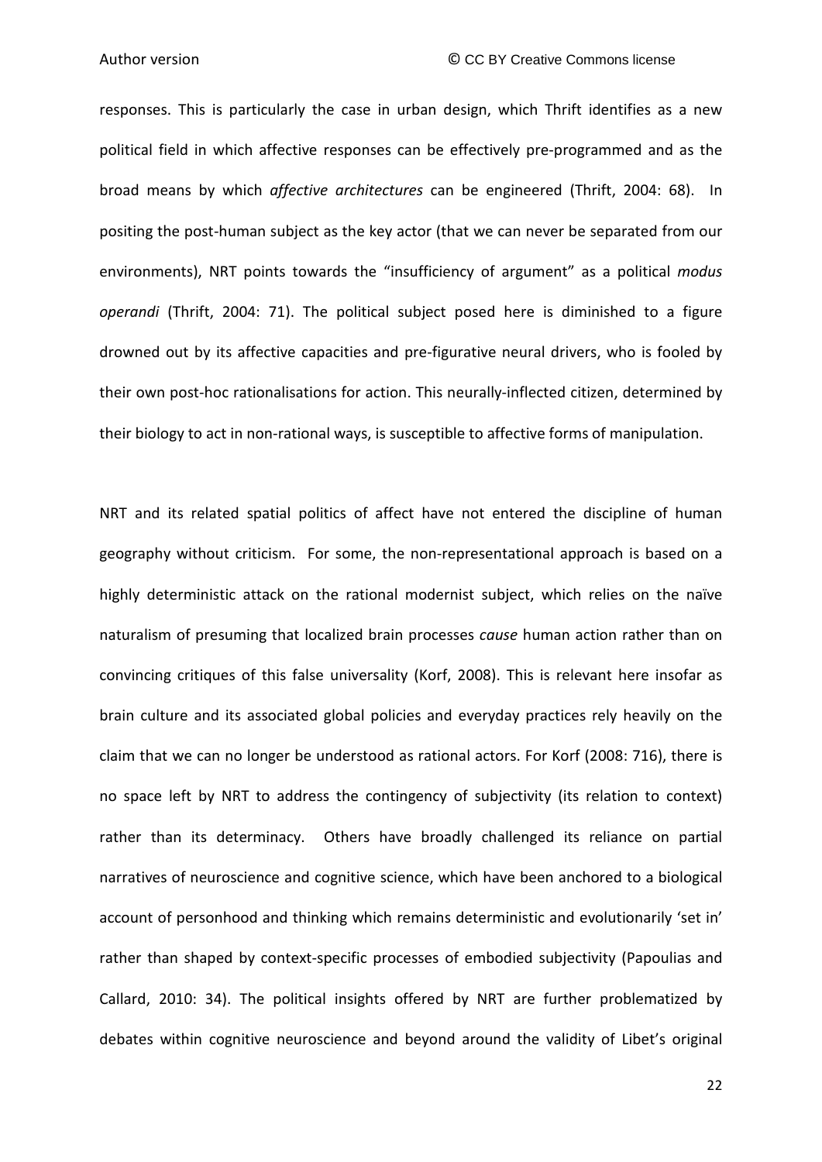responses. This is particularly the case in urban design, which Thrift identifies as a new political field in which affective responses can be effectively pre-programmed and as the broad means by which *affective architectures* can be engineered (Thrift, 2004: 68). In positing the post-human subject as the key actor (that we can never be separated from our environments), NRT points towards the "insufficiency of argument" as a political *modus operandi* (Thrift, 2004: 71). The political subject posed here is diminished to a figure drowned out by its affective capacities and pre-figurative neural drivers, who is fooled by their own post-hoc rationalisations for action. This neurally-inflected citizen, determined by their biology to act in non-rational ways, is susceptible to affective forms of manipulation.

NRT and its related spatial politics of affect have not entered the discipline of human geography without criticism. For some, the non-representational approach is based on a highly deterministic attack on the rational modernist subject, which relies on the naïve naturalism of presuming that localized brain processes *cause* human action rather than on convincing critiques of this false universality (Korf, 2008). This is relevant here insofar as brain culture and its associated global policies and everyday practices rely heavily on the claim that we can no longer be understood as rational actors. For Korf (2008: 716), there is no space left by NRT to address the contingency of subjectivity (its relation to context) rather than its determinacy. Others have broadly challenged its reliance on partial narratives of neuroscience and cognitive science, which have been anchored to a biological account of personhood and thinking which remains deterministic and evolutionarily 'set in' rather than shaped by context-specific processes of embodied subjectivity (Papoulias and Callard, 2010: 34). The political insights offered by NRT are further problematized by debates within cognitive neuroscience and beyond around the validity of Libet's original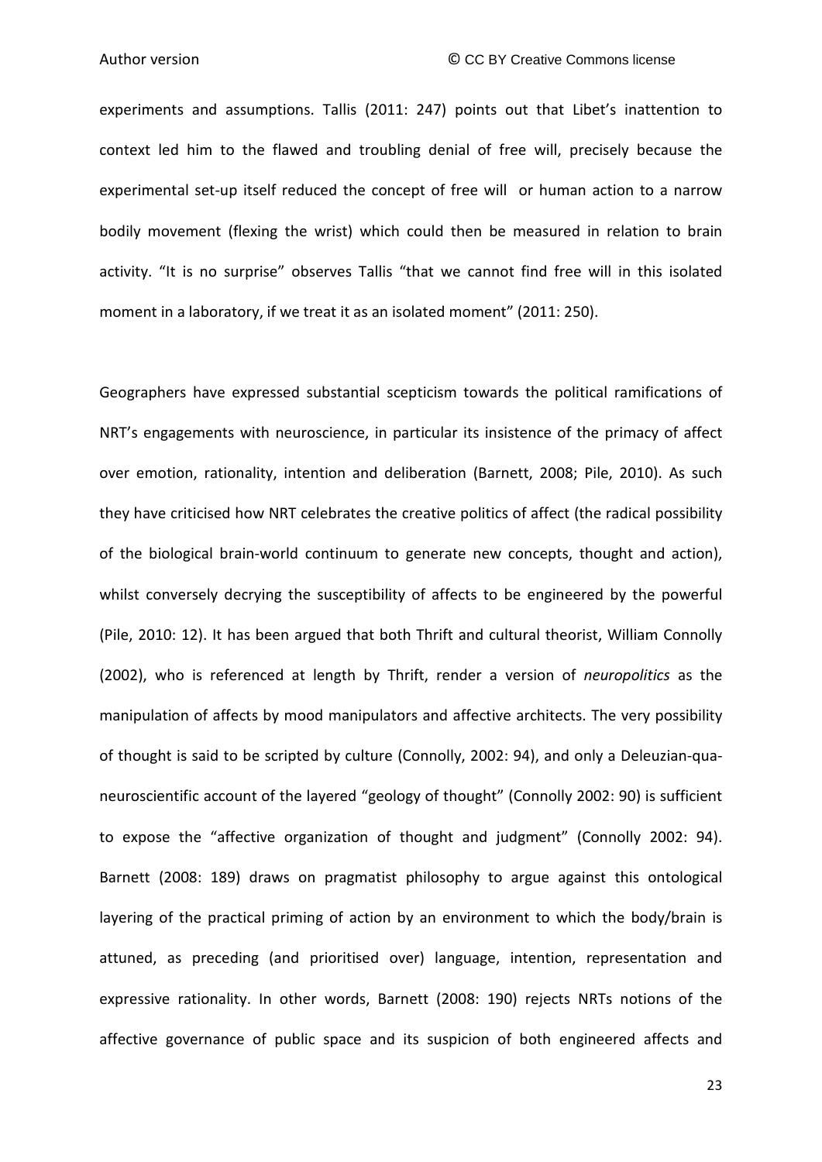experiments and assumptions. Tallis (2011: 247) points out that Libet's inattention to context led him to the flawed and troubling denial of free will, precisely because the experimental set-up itself reduced the concept of free will or human action to a narrow bodily movement (flexing the wrist) which could then be measured in relation to brain activity. "It is no surprise" observes Tallis "that we cannot find free will in this isolated moment in a laboratory, if we treat it as an isolated moment" (2011: 250).

Geographers have expressed substantial scepticism towards the political ramifications of NRT's engagements with neuroscience, in particular its insistence of the primacy of affect over emotion, rationality, intention and deliberation (Barnett, 2008; Pile, 2010). As such they have criticised how NRT celebrates the creative politics of affect (the radical possibility of the biological brain-world continuum to generate new concepts, thought and action), whilst conversely decrying the susceptibility of affects to be engineered by the powerful (Pile, 2010: 12). It has been argued that both Thrift and cultural theorist, William Connolly (2002), who is referenced at length by Thrift, render a version of *neuropolitics* as the manipulation of affects by mood manipulators and affective architects. The very possibility of thought is said to be scripted by culture (Connolly, 2002: 94), and only a Deleuzian-quaneuroscientific account of the layered "geology of thought" (Connolly 2002: 90) is sufficient to expose the "affective organization of thought and judgment" (Connolly 2002: 94). Barnett (2008: 189) draws on pragmatist philosophy to argue against this ontological layering of the practical priming of action by an environment to which the body/brain is attuned, as preceding (and prioritised over) language, intention, representation and expressive rationality. In other words, Barnett (2008: 190) rejects NRTs notions of the affective governance of public space and its suspicion of both engineered affects and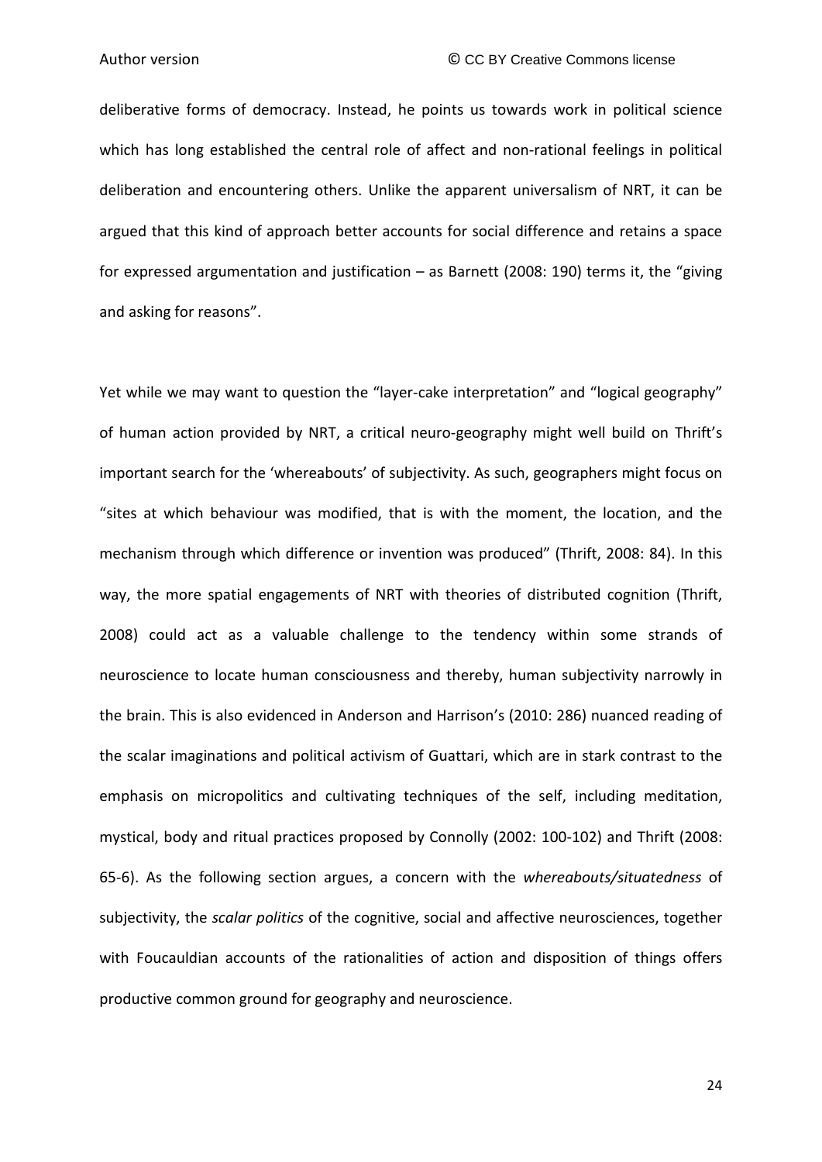deliberative forms of democracy. Instead, he points us towards work in political science which has long established the central role of affect and non-rational feelings in political deliberation and encountering others. Unlike the apparent universalism of NRT, it can be argued that this kind of approach better accounts for social difference and retains a space for expressed argumentation and justification – as Barnett (2008: 190) terms it, the "giving and asking for reasons".

Yet while we may want to question the "layer-cake interpretation" and "logical geography" of human action provided by NRT, a critical neuro-geography might well build on Thrift's important search for the 'whereabouts' of subjectivity. As such, geographers might focus on "sites at which behaviour was modified, that is with the moment, the location, and the mechanism through which difference or invention was produced" (Thrift, 2008: 84). In this way, the more spatial engagements of NRT with theories of distributed cognition (Thrift, 2008) could act as a valuable challenge to the tendency within some strands of neuroscience to locate human consciousness and thereby, human subjectivity narrowly in the brain. This is also evidenced in Anderson and Harrison's (2010: 286) nuanced reading of the scalar imaginations and political activism of Guattari, which are in stark contrast to the emphasis on micropolitics and cultivating techniques of the self, including meditation, mystical, body and ritual practices proposed by Connolly (2002: 100-102) and Thrift (2008: 65-6). As the following section argues, a concern with the *whereabouts/situatedness* of subjectivity, the *scalar politics* of the cognitive, social and affective neurosciences, together with Foucauldian accounts of the rationalities of action and disposition of things offers productive common ground for geography and neuroscience.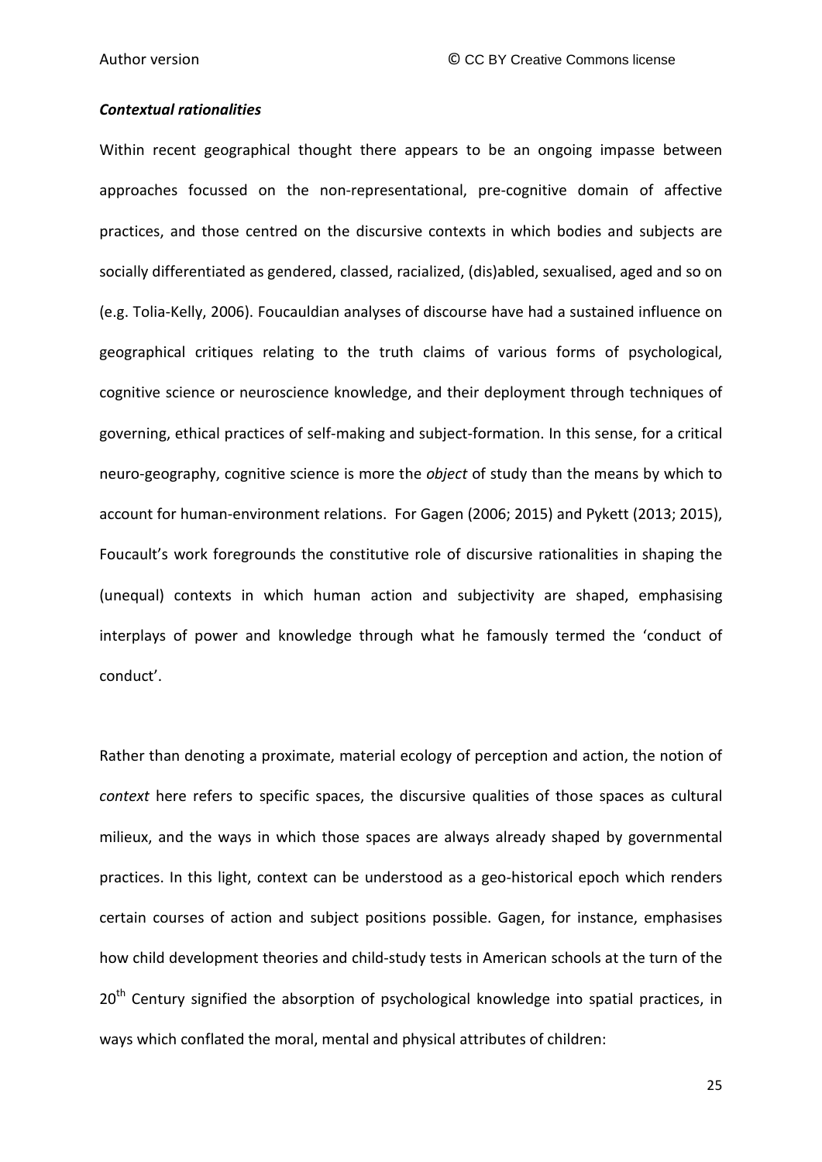#### *Contextual rationalities*

Within recent geographical thought there appears to be an ongoing impasse between approaches focussed on the non-representational, pre-cognitive domain of affective practices, and those centred on the discursive contexts in which bodies and subjects are socially differentiated as gendered, classed, racialized, (dis)abled, sexualised, aged and so on (e.g. Tolia-Kelly, 2006). Foucauldian analyses of discourse have had a sustained influence on geographical critiques relating to the truth claims of various forms of psychological, cognitive science or neuroscience knowledge, and their deployment through techniques of governing, ethical practices of self-making and subject-formation. In this sense, for a critical neuro-geography, cognitive science is more the *object* of study than the means by which to account for human-environment relations. For Gagen (2006; 2015) and Pykett (2013; 2015), Foucault's work foregrounds the constitutive role of discursive rationalities in shaping the (unequal) contexts in which human action and subjectivity are shaped, emphasising interplays of power and knowledge through what he famously termed the 'conduct of conduct'.

Rather than denoting a proximate, material ecology of perception and action, the notion of *context* here refers to specific spaces, the discursive qualities of those spaces as cultural milieux, and the ways in which those spaces are always already shaped by governmental practices. In this light, context can be understood as a geo-historical epoch which renders certain courses of action and subject positions possible. Gagen, for instance, emphasises how child development theories and child-study tests in American schools at the turn of the  $20<sup>th</sup>$  Century signified the absorption of psychological knowledge into spatial practices, in ways which conflated the moral, mental and physical attributes of children: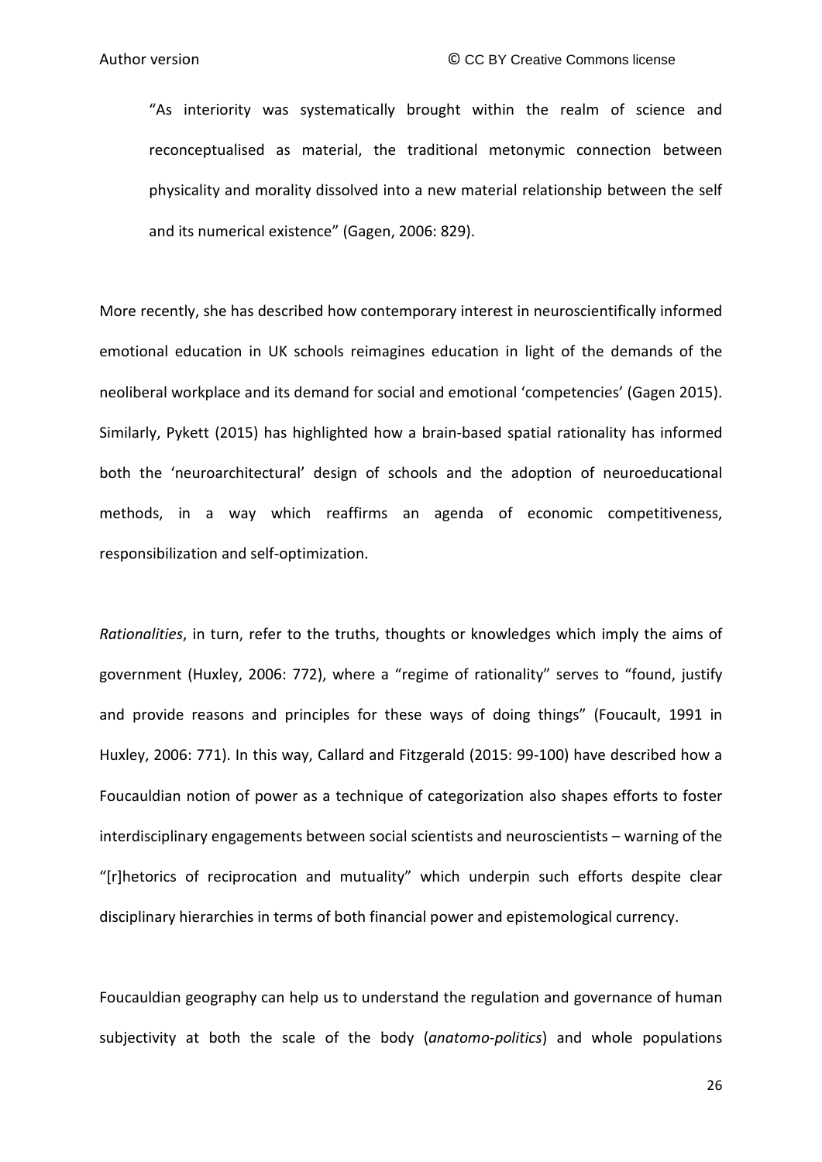"As interiority was systematically brought within the realm of science and reconceptualised as material, the traditional metonymic connection between physicality and morality dissolved into a new material relationship between the self and its numerical existence" (Gagen, 2006: 829).

More recently, she has described how contemporary interest in neuroscientifically informed emotional education in UK schools reimagines education in light of the demands of the neoliberal workplace and its demand for social and emotional 'competencies' (Gagen 2015). Similarly, Pykett (2015) has highlighted how a brain-based spatial rationality has informed both the 'neuroarchitectural' design of schools and the adoption of neuroeducational methods, in a way which reaffirms an agenda of economic competitiveness, responsibilization and self-optimization.

*Rationalities*, in turn, refer to the truths, thoughts or knowledges which imply the aims of government (Huxley, 2006: 772), where a "regime of rationality" serves to "found, justify and provide reasons and principles for these ways of doing things" (Foucault, 1991 in Huxley, 2006: 771). In this way, Callard and Fitzgerald (2015: 99-100) have described how a Foucauldian notion of power as a technique of categorization also shapes efforts to foster interdisciplinary engagements between social scientists and neuroscientists – warning of the "[r]hetorics of reciprocation and mutuality" which underpin such efforts despite clear disciplinary hierarchies in terms of both financial power and epistemological currency.

Foucauldian geography can help us to understand the regulation and governance of human subjectivity at both the scale of the body (*anatomo-politics*) and whole populations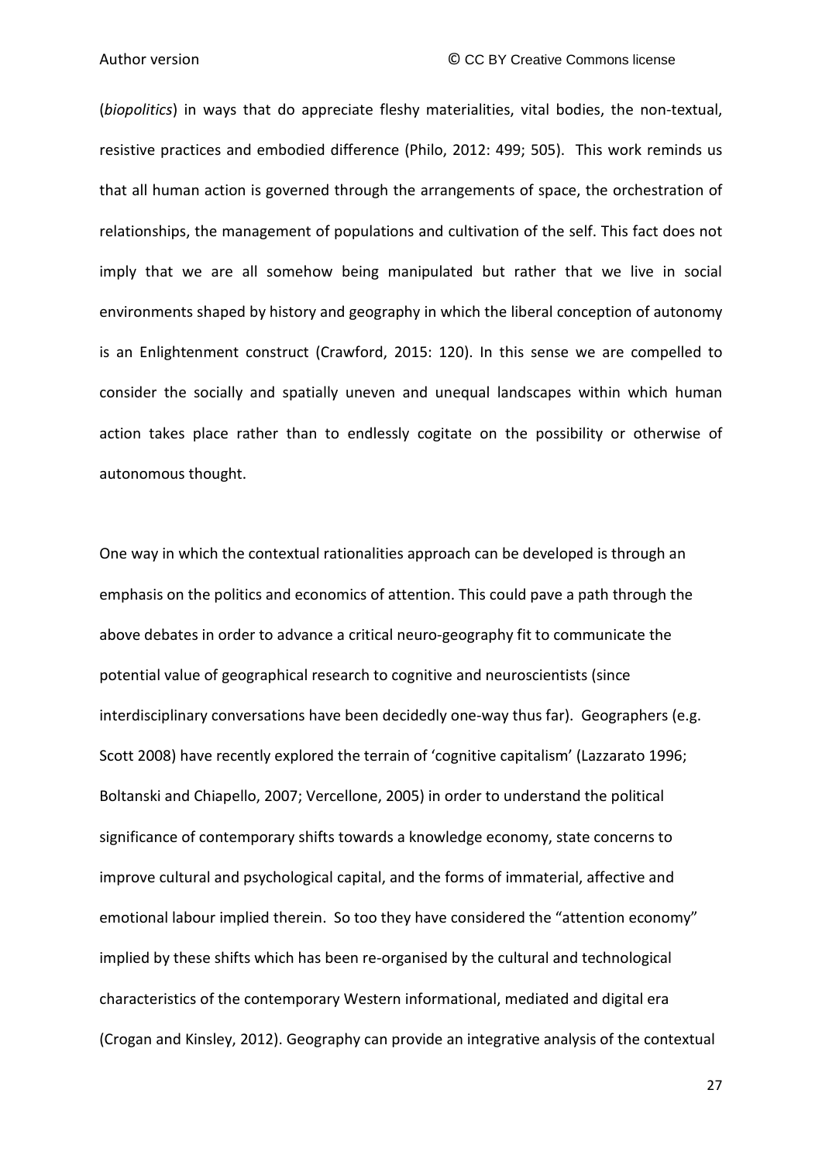(*biopolitics*) in ways that do appreciate fleshy materialities, vital bodies, the non-textual, resistive practices and embodied difference (Philo, 2012: 499; 505). This work reminds us that all human action is governed through the arrangements of space, the orchestration of relationships, the management of populations and cultivation of the self. This fact does not imply that we are all somehow being manipulated but rather that we live in social environments shaped by history and geography in which the liberal conception of autonomy is an Enlightenment construct (Crawford, 2015: 120). In this sense we are compelled to consider the socially and spatially uneven and unequal landscapes within which human action takes place rather than to endlessly cogitate on the possibility or otherwise of autonomous thought.

One way in which the contextual rationalities approach can be developed is through an emphasis on the politics and economics of attention. This could pave a path through the above debates in order to advance a critical neuro-geography fit to communicate the potential value of geographical research to cognitive and neuroscientists (since interdisciplinary conversations have been decidedly one-way thus far). Geographers (e.g. Scott 2008) have recently explored the terrain of 'cognitive capitalism' (Lazzarato 1996; Boltanski and Chiapello, 2007; Vercellone, 2005) in order to understand the political significance of contemporary shifts towards a knowledge economy, state concerns to improve cultural and psychological capital, and the forms of immaterial, affective and emotional labour implied therein. So too they have considered the "attention economy" implied by these shifts which has been re-organised by the cultural and technological characteristics of the contemporary Western informational, mediated and digital era (Crogan and Kinsley, 2012). Geography can provide an integrative analysis of the contextual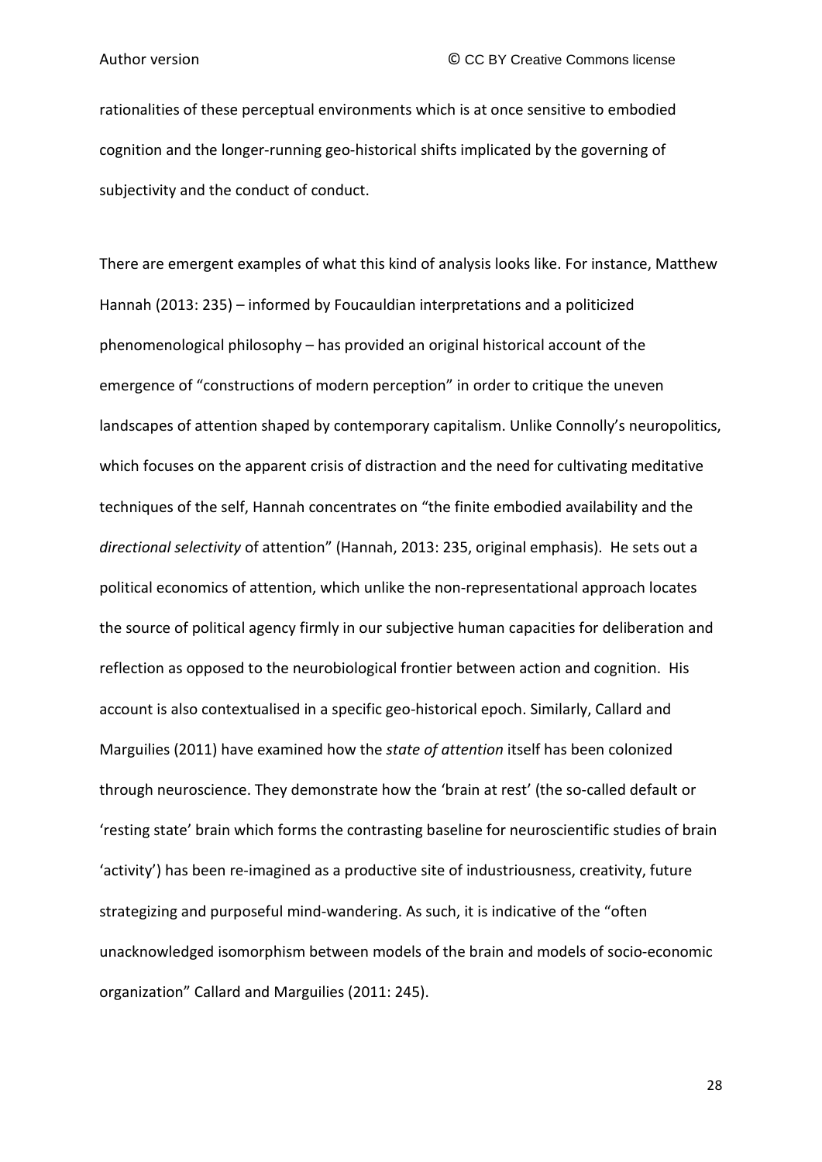rationalities of these perceptual environments which is at once sensitive to embodied cognition and the longer-running geo-historical shifts implicated by the governing of subjectivity and the conduct of conduct.

There are emergent examples of what this kind of analysis looks like. For instance, Matthew Hannah (2013: 235) – informed by Foucauldian interpretations and a politicized phenomenological philosophy – has provided an original historical account of the emergence of "constructions of modern perception" in order to critique the uneven landscapes of attention shaped by contemporary capitalism. Unlike Connolly's neuropolitics, which focuses on the apparent crisis of distraction and the need for cultivating meditative techniques of the self, Hannah concentrates on "the finite embodied availability and the *directional selectivity* of attention" (Hannah, 2013: 235, original emphasis). He sets out a political economics of attention, which unlike the non-representational approach locates the source of political agency firmly in our subjective human capacities for deliberation and reflection as opposed to the neurobiological frontier between action and cognition. His account is also contextualised in a specific geo-historical epoch. Similarly, Callard and Marguilies (2011) have examined how the *state of attention* itself has been colonized through neuroscience. They demonstrate how the 'brain at rest' (the so-called default or 'resting state' brain which forms the contrasting baseline for neuroscientific studies of brain 'activity') has been re-imagined as a productive site of industriousness, creativity, future strategizing and purposeful mind-wandering. As such, it is indicative of the "often unacknowledged isomorphism between models of the brain and models of socio-economic organization" Callard and Marguilies (2011: 245).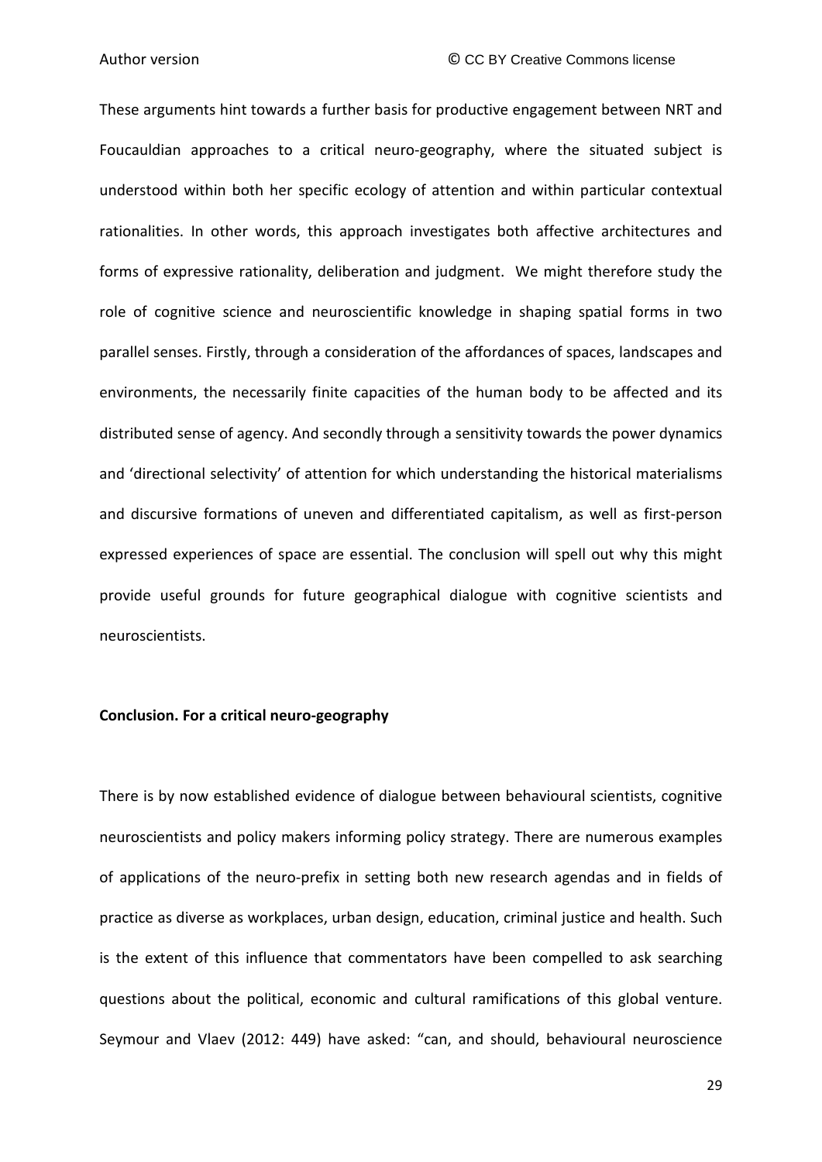These arguments hint towards a further basis for productive engagement between NRT and Foucauldian approaches to a critical neuro-geography, where the situated subject is understood within both her specific ecology of attention and within particular contextual rationalities. In other words, this approach investigates both affective architectures and forms of expressive rationality, deliberation and judgment. We might therefore study the role of cognitive science and neuroscientific knowledge in shaping spatial forms in two parallel senses. Firstly, through a consideration of the affordances of spaces, landscapes and environments, the necessarily finite capacities of the human body to be affected and its distributed sense of agency. And secondly through a sensitivity towards the power dynamics and 'directional selectivity' of attention for which understanding the historical materialisms and discursive formations of uneven and differentiated capitalism, as well as first-person expressed experiences of space are essential. The conclusion will spell out why this might provide useful grounds for future geographical dialogue with cognitive scientists and neuroscientists.

### **Conclusion. For a critical neuro-geography**

There is by now established evidence of dialogue between behavioural scientists, cognitive neuroscientists and policy makers informing policy strategy. There are numerous examples of applications of the neuro-prefix in setting both new research agendas and in fields of practice as diverse as workplaces, urban design, education, criminal justice and health. Such is the extent of this influence that commentators have been compelled to ask searching questions about the political, economic and cultural ramifications of this global venture. Seymour and Vlaev (2012: 449) have asked: "can, and should, behavioural neuroscience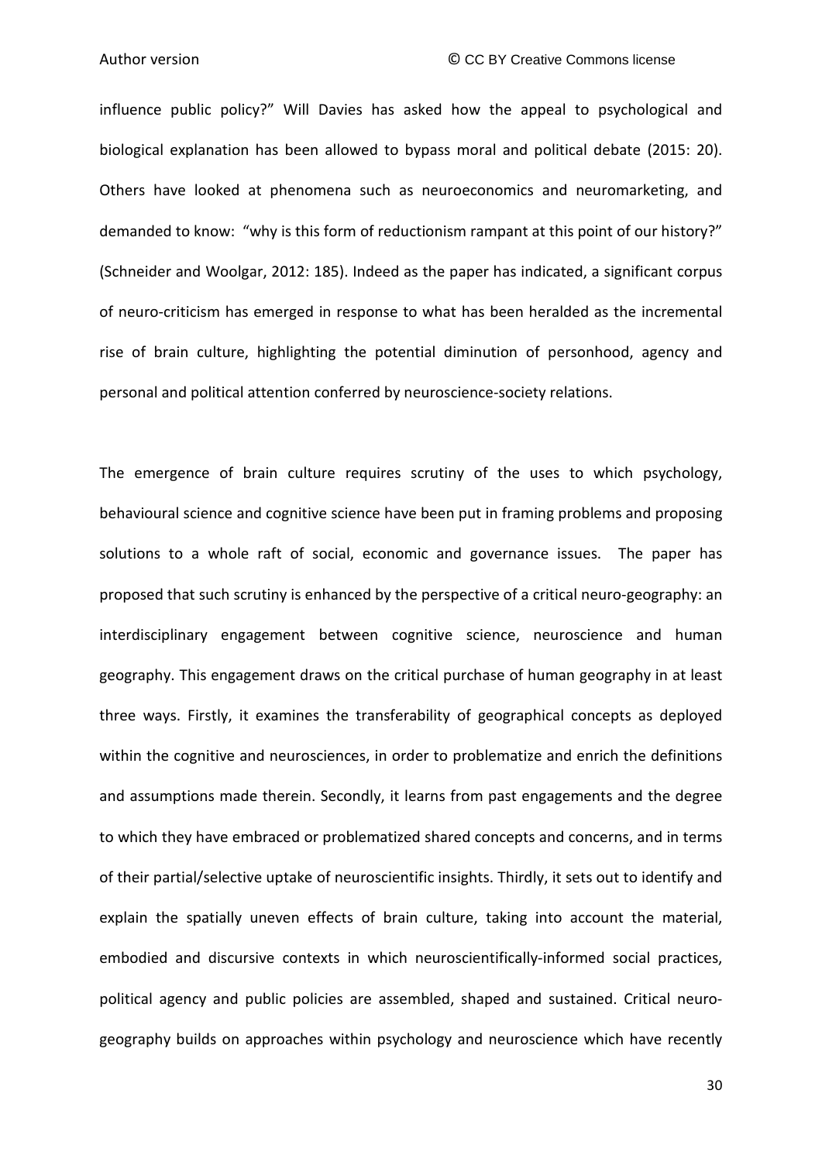influence public policy?" Will Davies has asked how the appeal to psychological and biological explanation has been allowed to bypass moral and political debate (2015: 20). Others have looked at phenomena such as neuroeconomics and neuromarketing, and demanded to know: "why is this form of reductionism rampant at this point of our history?" (Schneider and Woolgar, 2012: 185). Indeed as the paper has indicated, a significant corpus of neuro-criticism has emerged in response to what has been heralded as the incremental rise of brain culture, highlighting the potential diminution of personhood, agency and personal and political attention conferred by neuroscience-society relations.

The emergence of brain culture requires scrutiny of the uses to which psychology, behavioural science and cognitive science have been put in framing problems and proposing solutions to a whole raft of social, economic and governance issues. The paper has proposed that such scrutiny is enhanced by the perspective of a critical neuro-geography: an interdisciplinary engagement between cognitive science, neuroscience and human geography. This engagement draws on the critical purchase of human geography in at least three ways. Firstly, it examines the transferability of geographical concepts as deployed within the cognitive and neurosciences, in order to problematize and enrich the definitions and assumptions made therein. Secondly, it learns from past engagements and the degree to which they have embraced or problematized shared concepts and concerns, and in terms of their partial/selective uptake of neuroscientific insights. Thirdly, it sets out to identify and explain the spatially uneven effects of brain culture, taking into account the material, embodied and discursive contexts in which neuroscientifically-informed social practices, political agency and public policies are assembled, shaped and sustained. Critical neurogeography builds on approaches within psychology and neuroscience which have recently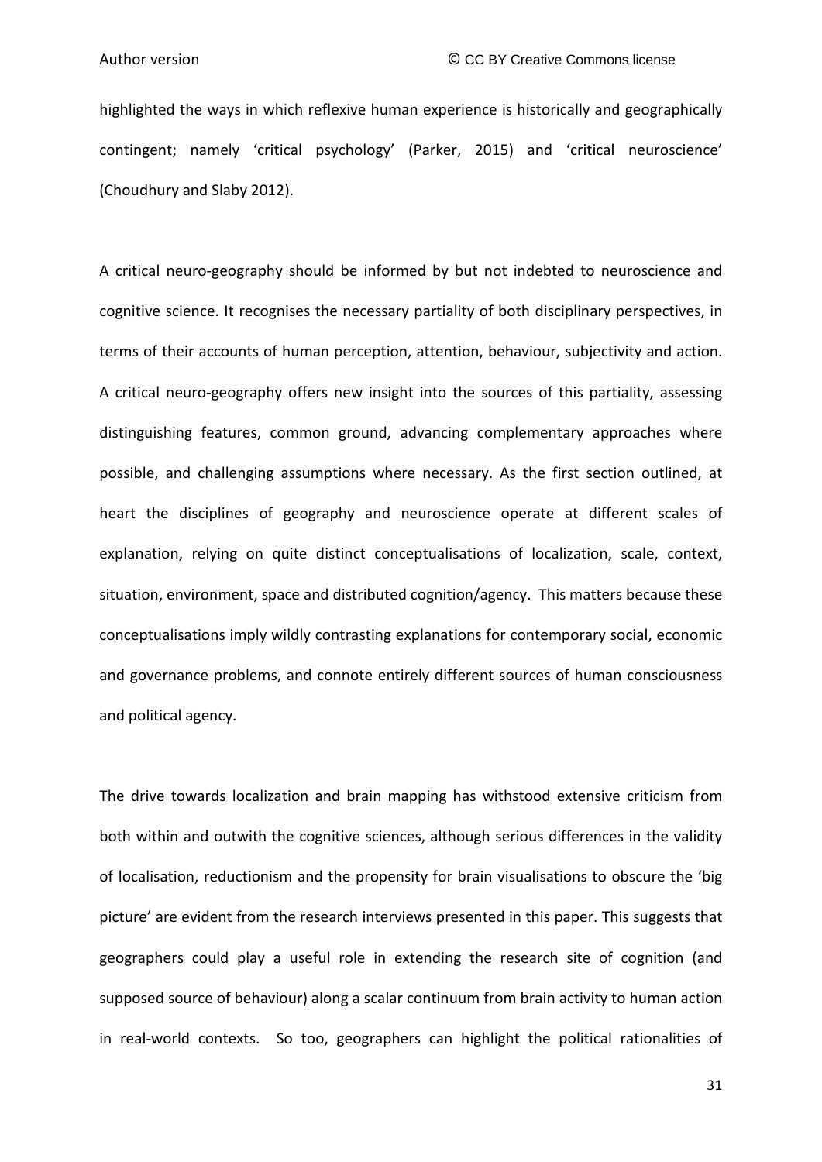highlighted the ways in which reflexive human experience is historically and geographically contingent; namely 'critical psychology' (Parker, 2015) and 'critical neuroscience' (Choudhury and Slaby 2012).

A critical neuro-geography should be informed by but not indebted to neuroscience and cognitive science. It recognises the necessary partiality of both disciplinary perspectives, in terms of their accounts of human perception, attention, behaviour, subjectivity and action. A critical neuro-geography offers new insight into the sources of this partiality, assessing distinguishing features, common ground, advancing complementary approaches where possible, and challenging assumptions where necessary. As the first section outlined, at heart the disciplines of geography and neuroscience operate at different scales of explanation, relying on quite distinct conceptualisations of localization, scale, context, situation, environment, space and distributed cognition/agency. This matters because these conceptualisations imply wildly contrasting explanations for contemporary social, economic and governance problems, and connote entirely different sources of human consciousness and political agency.

The drive towards localization and brain mapping has withstood extensive criticism from both within and outwith the cognitive sciences, although serious differences in the validity of localisation, reductionism and the propensity for brain visualisations to obscure the 'big picture' are evident from the research interviews presented in this paper. This suggests that geographers could play a useful role in extending the research site of cognition (and supposed source of behaviour) along a scalar continuum from brain activity to human action in real-world contexts. So too, geographers can highlight the political rationalities of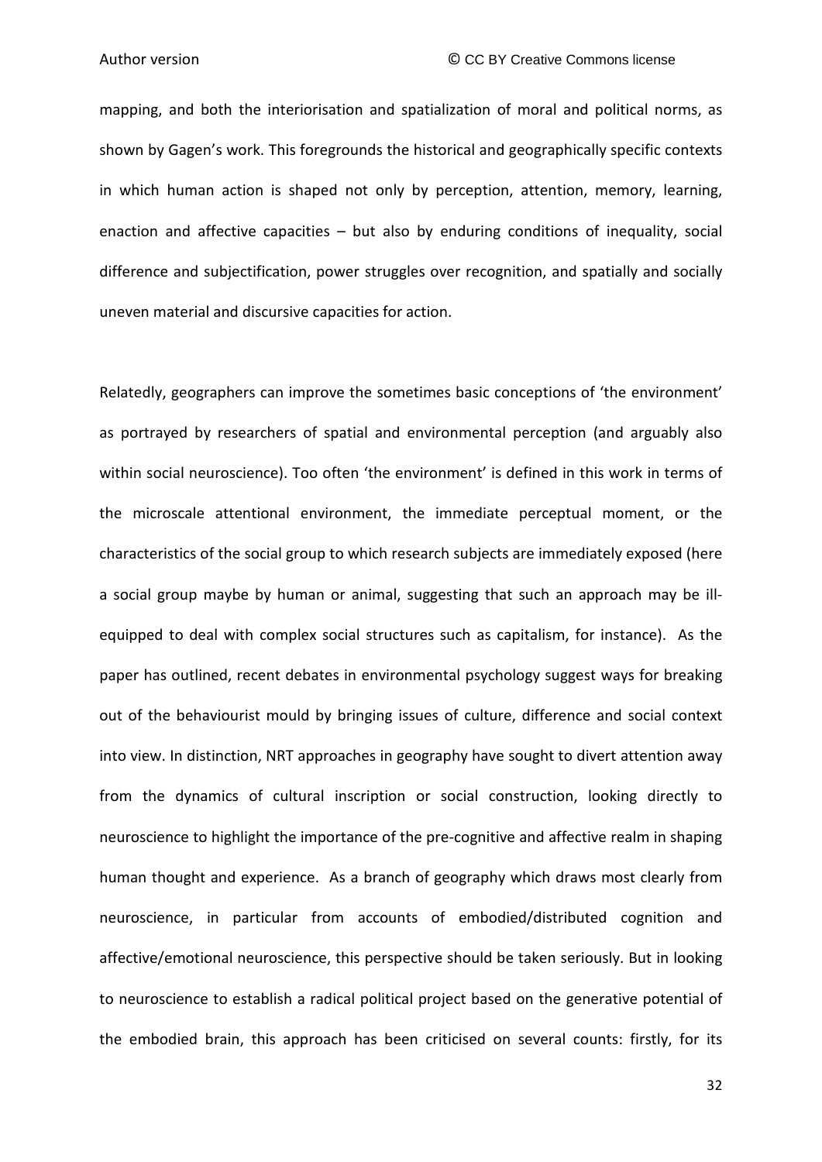mapping, and both the interiorisation and spatialization of moral and political norms, as shown by Gagen's work. This foregrounds the historical and geographically specific contexts in which human action is shaped not only by perception, attention, memory, learning, enaction and affective capacities – but also by enduring conditions of inequality, social difference and subjectification, power struggles over recognition, and spatially and socially uneven material and discursive capacities for action.

Relatedly, geographers can improve the sometimes basic conceptions of 'the environment' as portrayed by researchers of spatial and environmental perception (and arguably also within social neuroscience). Too often 'the environment' is defined in this work in terms of the microscale attentional environment, the immediate perceptual moment, or the characteristics of the social group to which research subjects are immediately exposed (here a social group maybe by human or animal, suggesting that such an approach may be illequipped to deal with complex social structures such as capitalism, for instance). As the paper has outlined, recent debates in environmental psychology suggest ways for breaking out of the behaviourist mould by bringing issues of culture, difference and social context into view. In distinction, NRT approaches in geography have sought to divert attention away from the dynamics of cultural inscription or social construction, looking directly to neuroscience to highlight the importance of the pre-cognitive and affective realm in shaping human thought and experience. As a branch of geography which draws most clearly from neuroscience, in particular from accounts of embodied/distributed cognition and affective/emotional neuroscience, this perspective should be taken seriously. But in looking to neuroscience to establish a radical political project based on the generative potential of the embodied brain, this approach has been criticised on several counts: firstly, for its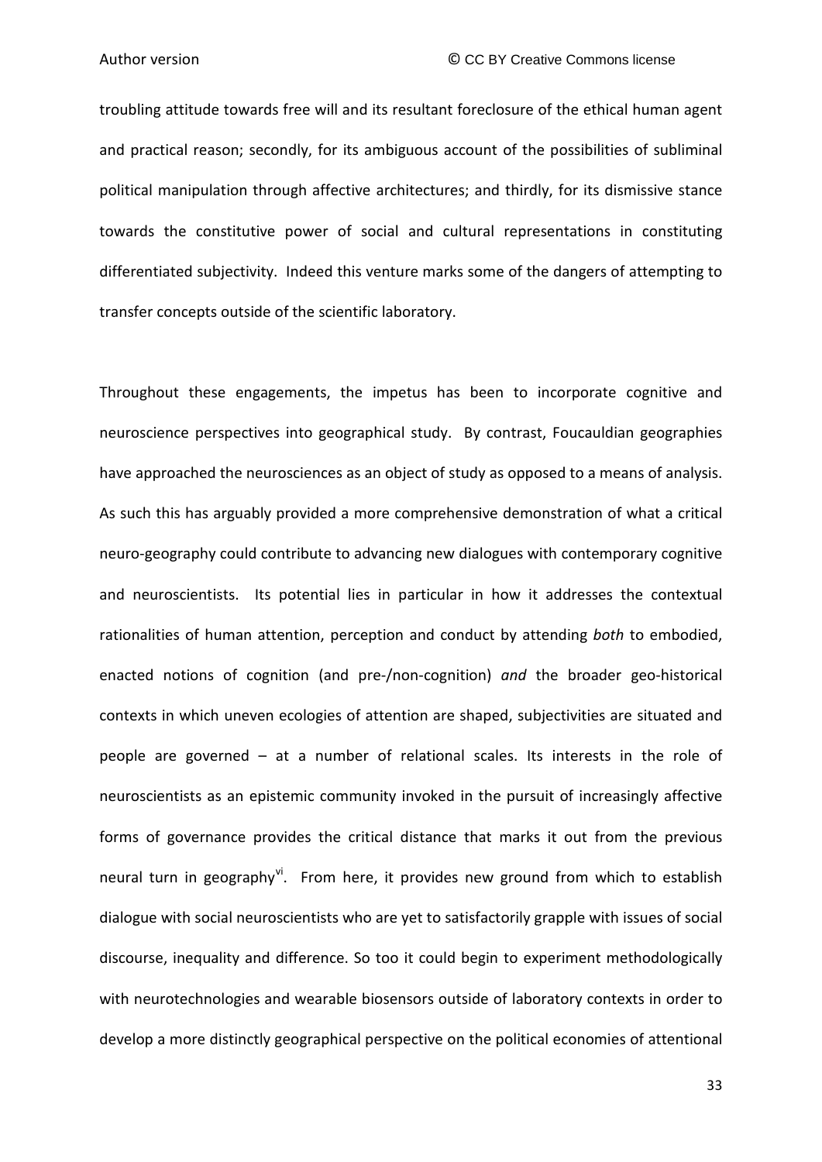troubling attitude towards free will and its resultant foreclosure of the ethical human agent and practical reason; secondly, for its ambiguous account of the possibilities of subliminal political manipulation through affective architectures; and thirdly, for its dismissive stance towards the constitutive power of social and cultural representations in constituting differentiated subjectivity. Indeed this venture marks some of the dangers of attempting to transfer concepts outside of the scientific laboratory.

Throughout these engagements, the impetus has been to incorporate cognitive and neuroscience perspectives into geographical study. By contrast, Foucauldian geographies have approached the neurosciences as an object of study as opposed to a means of analysis. As such this has arguably provided a more comprehensive demonstration of what a critical neuro-geography could contribute to advancing new dialogues with contemporary cognitive and neuroscientists. Its potential lies in particular in how it addresses the contextual rationalities of human attention, perception and conduct by attending *both* to embodied, enacted notions of cognition (and pre-/non-cognition) *and* the broader geo-historical contexts in which uneven ecologies of attention are shaped, subjectivities are situated and people are governed – at a number of relational scales. Its interests in the role of neuroscientists as an epistemic community invoked in the pursuit of increasingly affective forms of governance provides the critical distance that marks it out from the previous neural turn in geography<sup>[vi](#page-44-5)</sup>. From here, it provides new ground from which to establish dialogue with social neuroscientists who are yet to satisfactorily grapple with issues of social discourse, inequality and difference. So too it could begin to experiment methodologically with neurotechnologies and wearable biosensors outside of laboratory contexts in order to develop a more distinctly geographical perspective on the political economies of attentional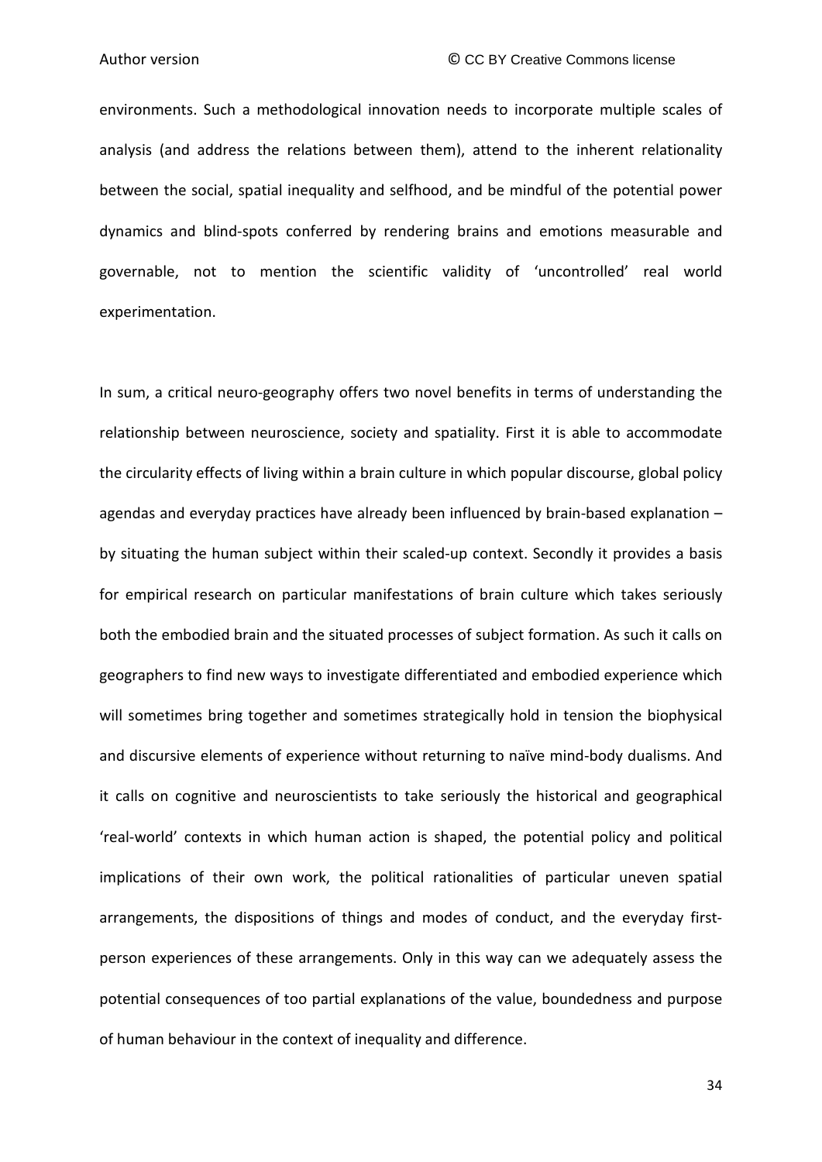environments. Such a methodological innovation needs to incorporate multiple scales of analysis (and address the relations between them), attend to the inherent relationality between the social, spatial inequality and selfhood, and be mindful of the potential power dynamics and blind-spots conferred by rendering brains and emotions measurable and governable, not to mention the scientific validity of 'uncontrolled' real world experimentation.

In sum, a critical neuro-geography offers two novel benefits in terms of understanding the relationship between neuroscience, society and spatiality. First it is able to accommodate the circularity effects of living within a brain culture in which popular discourse, global policy agendas and everyday practices have already been influenced by brain-based explanation – by situating the human subject within their scaled-up context. Secondly it provides a basis for empirical research on particular manifestations of brain culture which takes seriously both the embodied brain and the situated processes of subject formation. As such it calls on geographers to find new ways to investigate differentiated and embodied experience which will sometimes bring together and sometimes strategically hold in tension the biophysical and discursive elements of experience without returning to naïve mind-body dualisms. And it calls on cognitive and neuroscientists to take seriously the historical and geographical 'real-world' contexts in which human action is shaped, the potential policy and political implications of their own work, the political rationalities of particular uneven spatial arrangements, the dispositions of things and modes of conduct, and the everyday firstperson experiences of these arrangements. Only in this way can we adequately assess the potential consequences of too partial explanations of the value, boundedness and purpose of human behaviour in the context of inequality and difference.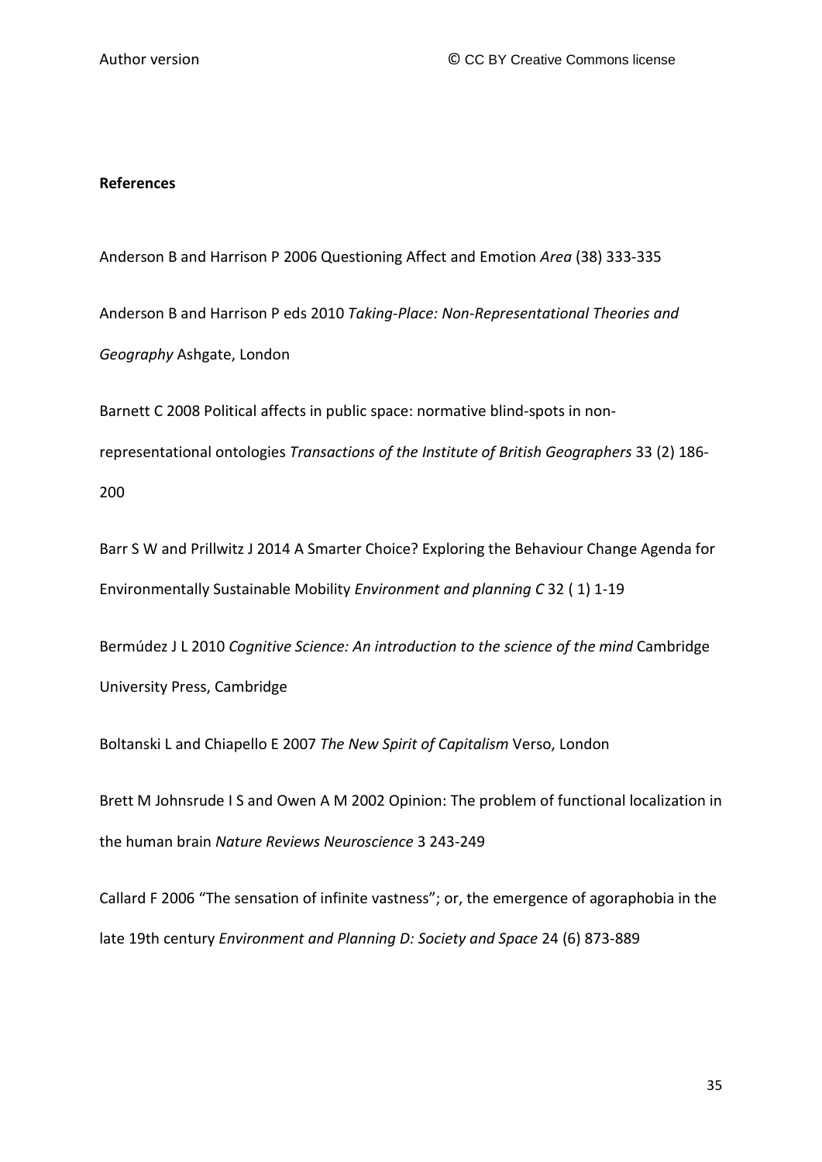#### **References**

Anderson B and Harrison P 2006 Questioning Affect and Emotion *Area* (38) 333-335

Anderson B and Harrison P eds 2010 *Taking-Place: Non-Representational Theories and Geography* Ashgate, London

Barnett C 2008 Political affects in public space: normative blind-spots in nonrepresentational ontologies *Transactions of the Institute of British Geographers* 33 (2) 186- 200

Barr S W and Prillwitz J 2014 A Smarter Choice? Exploring the Behaviour Change Agenda for Environmentally Sustainable Mobility *Environment and planning C* 32 ( 1) 1-19

Bermúdez J L 2010 *Cognitive Science: An introduction to the science of the mind* Cambridge University Press, Cambridge

Boltanski L and Chiapello E 2007 *The New Spirit of Capitalism* Verso, London

Brett M Johnsrude I S and Owen A M 2002 Opinion: The problem of functional localization in the human brain *Nature Reviews Neuroscience* 3 243-249

Callard F 2006 "The sensation of infinite vastness"; or, the emergence of agoraphobia in the late 19th century *Environment and Planning D: Society and Space* 24 (6) 873-889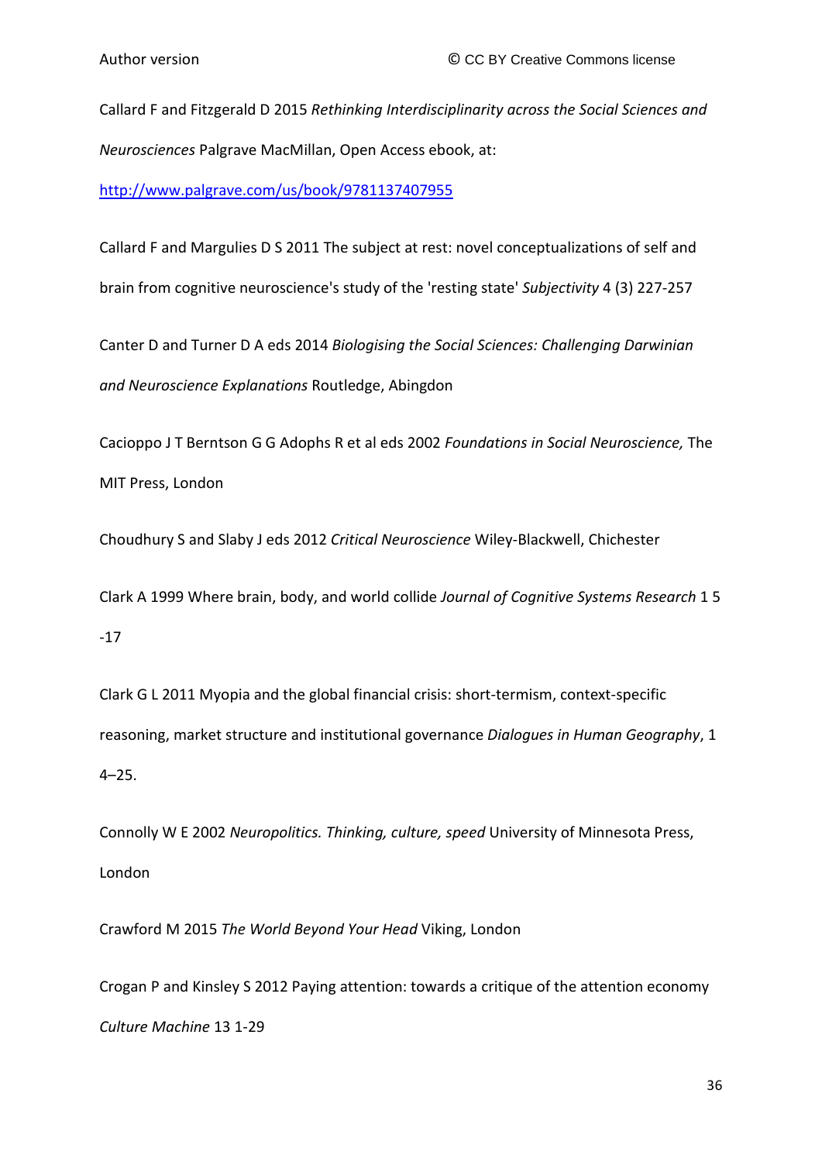Callard F and Fitzgerald D 2015 *Rethinking Interdisciplinarity across the Social Sciences and Neurosciences* Palgrave MacMillan, Open Access ebook, at:

<http://www.palgrave.com/us/book/9781137407955>

Callard F and Margulies D S 2011 The subject at rest: novel conceptualizations of self and brain from cognitive neuroscience's study of the 'resting state' *Subjectivity* 4 (3) 227-257

Canter D and Turner D A eds 2014 *Biologising the Social Sciences: Challenging Darwinian and Neuroscience Explanations* Routledge, Abingdon

Cacioppo J T Berntson G G Adophs R et al eds 2002 *Foundations in Social Neuroscience,* The MIT Press, London

Choudhury S and Slaby J eds 2012 *Critical Neuroscience* Wiley-Blackwell, Chichester

Clark A 1999 Where brain, body, and world collide *Journal of Cognitive Systems Research* 1 5 -17

Clark G L 2011 Myopia and the global financial crisis: short-termism, context-specific reasoning, market structure and institutional governance *Dialogues in Human Geography*, 1 4–25.

Connolly W E 2002 *Neuropolitics. Thinking, culture, speed* University of Minnesota Press, London

Crawford M 2015 *The World Beyond Your Head* Viking, London

Crogan P and Kinsley S 2012 Paying attention: towards a critique of the attention economy *Culture Machine* 13 1-29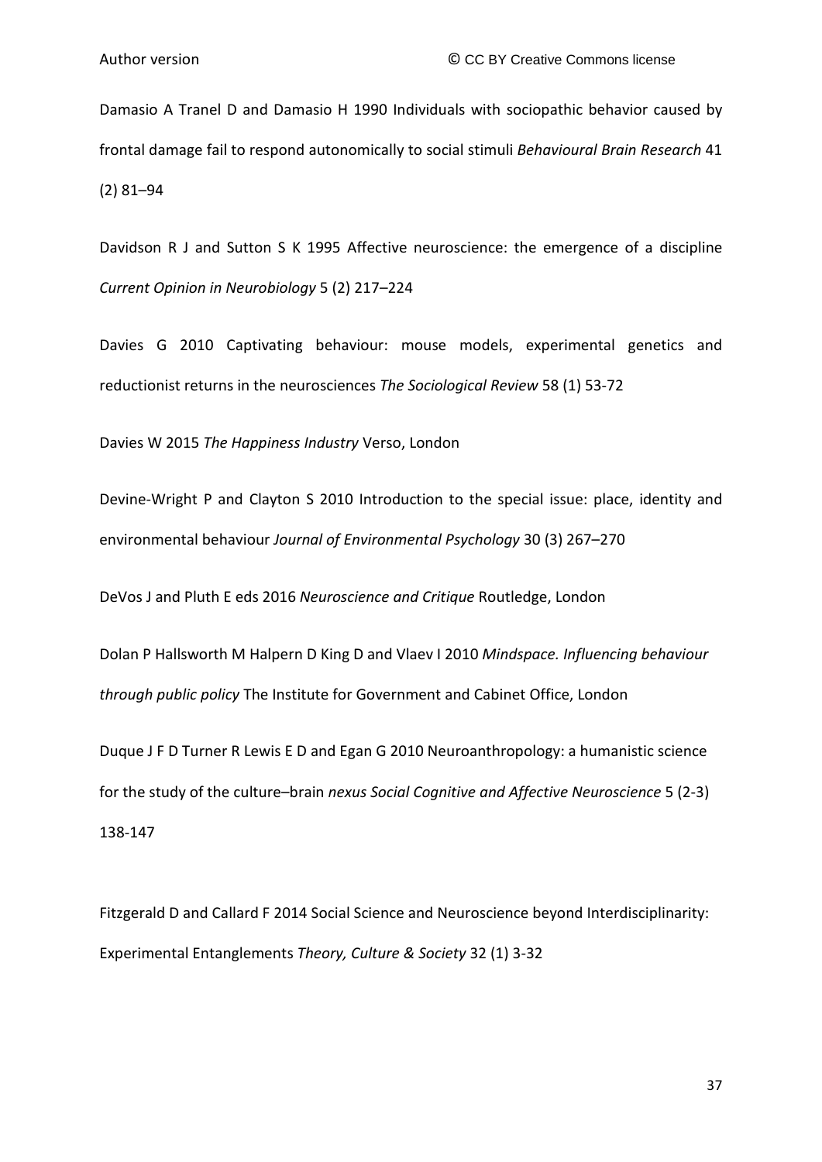Damasio A Tranel D and Damasio H 1990 Individuals with sociopathic behavior caused by frontal damage fail to respond autonomically to social stimuli *Behavioural Brain Research* 41 (2) 81–94

Davidson R J and Sutton S K 1995 Affective neuroscience: the emergence of a discipline *Current Opinion in Neurobiology* 5 (2) 217–224

Davies G 2010 Captivating behaviour: mouse models, experimental genetics and reductionist returns in the neurosciences *The Sociological Review* 58 (1) 53-72

Davies W 2015 *The Happiness Industry* Verso, London

Devine-Wright P and Clayton S 2010 Introduction to the special issue: place, identity and environmental behaviour *Journal of Environmental Psychology* 30 (3) 267–270

DeVos J and Pluth E eds 2016 *Neuroscience and Critique* Routledge, London

Dolan P Hallsworth M Halpern D King D and Vlaev I 2010 *Mindspace. Influencing behaviour through public policy* The Institute for Government and Cabinet Office, London

Duque J F D Turner R Lewis E D and Egan G 2010 Neuroanthropology: a humanistic science for the study of the culture–brain *nexus Social Cognitive and Affective Neuroscience* 5 (2-3) 138-147

Fitzgerald D and Callard F 2014 Social Science and Neuroscience beyond Interdisciplinarity: Experimental Entanglements *Theory, Culture & Society* 32 (1) 3-32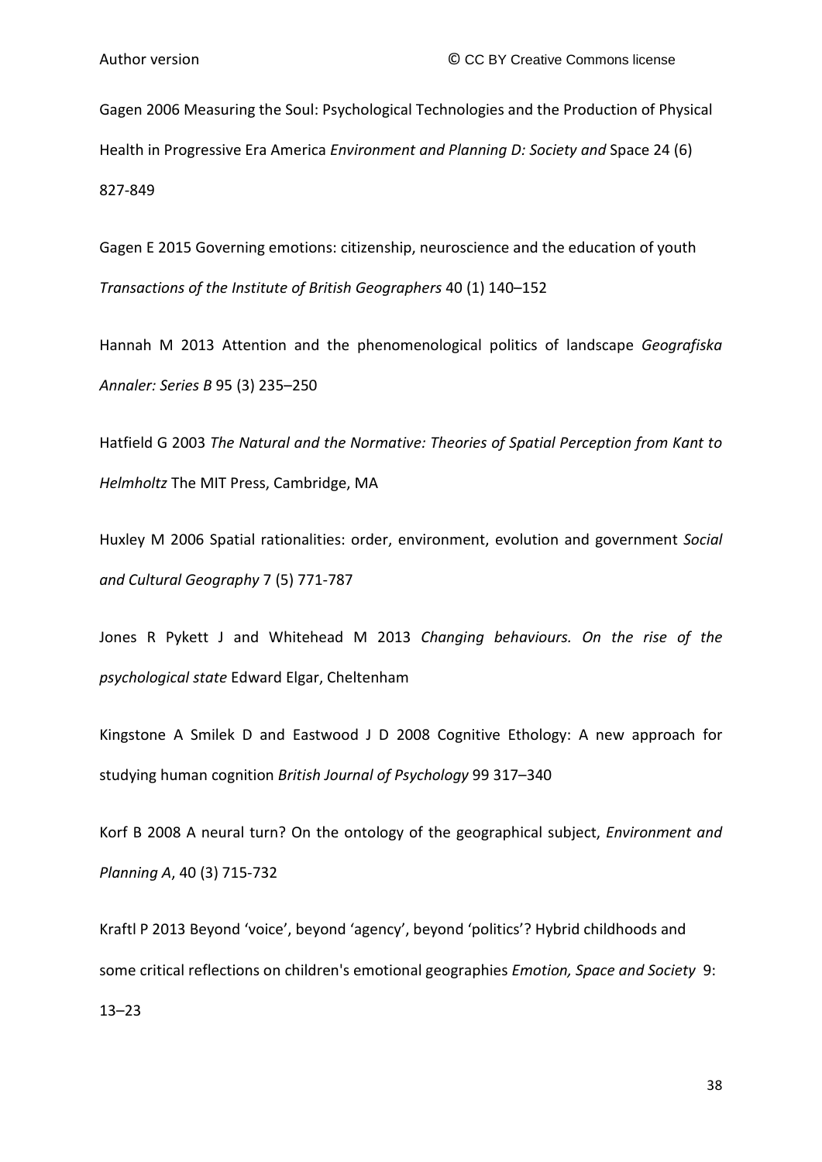Gagen 2006 Measuring the Soul: Psychological Technologies and the Production of Physical Health in Progressive Era America *Environment and Planning D: Society and* Space 24 (6) 827-849

Gagen E 2015 Governing emotions: citizenship, neuroscience and the education of youth *Transactions of the Institute of British Geographers* 40 (1) 140–152

Hannah M 2013 Attention and the phenomenological politics of landscape *Geografiska Annaler: Series B* 95 (3) 235–250

Hatfield G 2003 *The Natural and the Normative: Theories of Spatial Perception from Kant to Helmholtz* The MIT Press, Cambridge, MA

Huxley M 2006 Spatial rationalities: order, environment, evolution and government *Social and Cultural Geography* 7 (5) 771-787

Jones R Pykett J and Whitehead M 2013 *Changing behaviours. On the rise of the psychological state* Edward Elgar, Cheltenham

Kingstone A Smilek D and Eastwood J D 2008 Cognitive Ethology: A new approach for studying human cognition *British Journal of Psychology* 99 317–340

Korf B 2008 A neural turn? On the ontology of the geographical subject, *Environment and Planning A*, 40 (3) 715-732

Kraftl P 2013 Beyond 'voice', beyond 'agency', beyond 'politics'? Hybrid childhoods and some critical reflections on children's emotional geographies *Emotion, Space and Society* 9:

13–23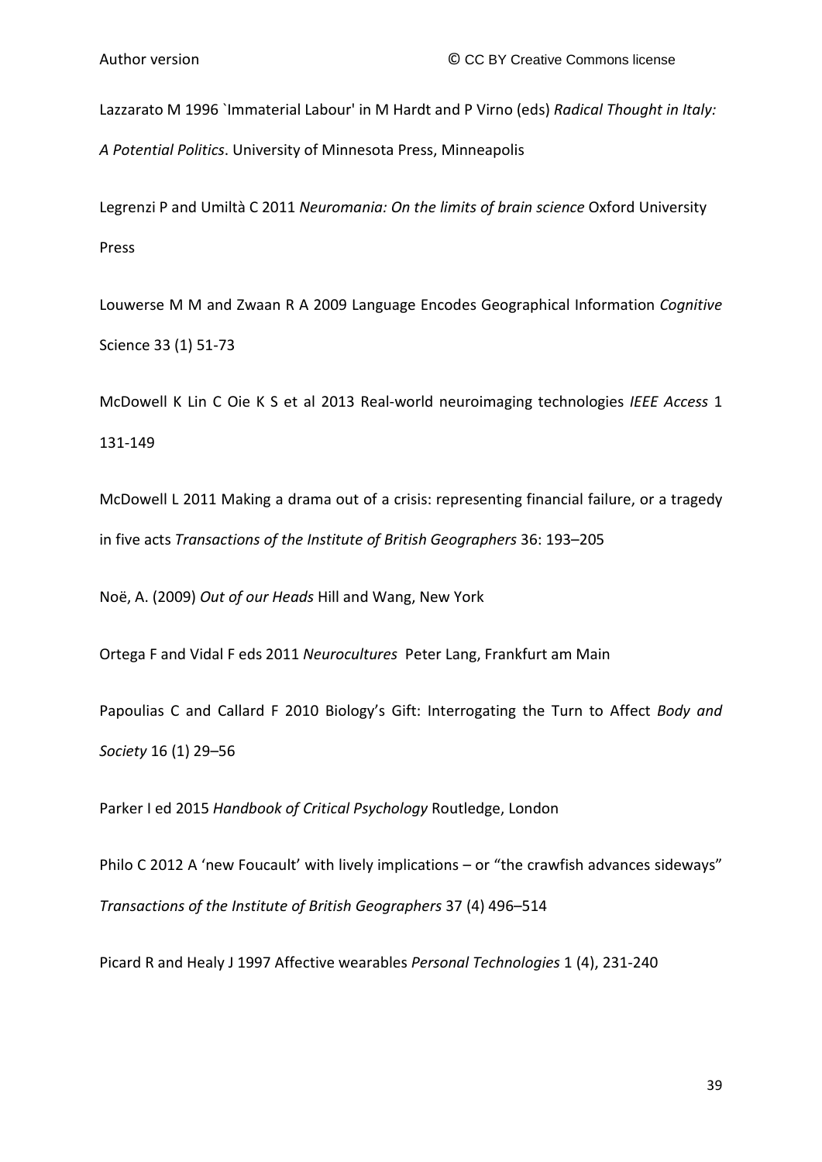Lazzarato M 1996 `Immaterial Labour' in M Hardt and P Virno (eds) *Radical Thought in Italy:* 

*A Potential Politics*. University of Minnesota Press, Minneapolis

Legrenzi P and Umiltà C 2011 *Neuromania: On the limits of brain science* Oxford University Press

Louwerse M M and Zwaan R A 2009 Language Encodes Geographical Information *Cognitive*  Science 33 (1) 51-73

McDowell K Lin C Oie K S et al 2013 Real-world neuroimaging technologies *IEEE Access* 1 131-149

McDowell L 2011 Making a drama out of a crisis: representing financial failure, or a tragedy in five acts *Transactions of the Institute of British Geographers* 36: 193–205

Noë, A. (2009) *Out of our Heads* Hill and Wang, New York

Ortega F and Vidal F eds 2011 *Neurocultures* Peter Lang, Frankfurt am Main

Papoulias C and Callard F 2010 Biology's Gift: Interrogating the Turn to Affect *Body and Society* 16 (1) 29–56

Parker I ed 2015 *Handbook of Critical Psychology* Routledge, London

Philo C 2012 A 'new Foucault' with lively implications – or "the crawfish advances sideways" *Transactions of the Institute of British Geographers* 37 (4) 496–514

Picard R and Healy J 1997 Affective wearables *Personal Technologies* 1 (4), 231-240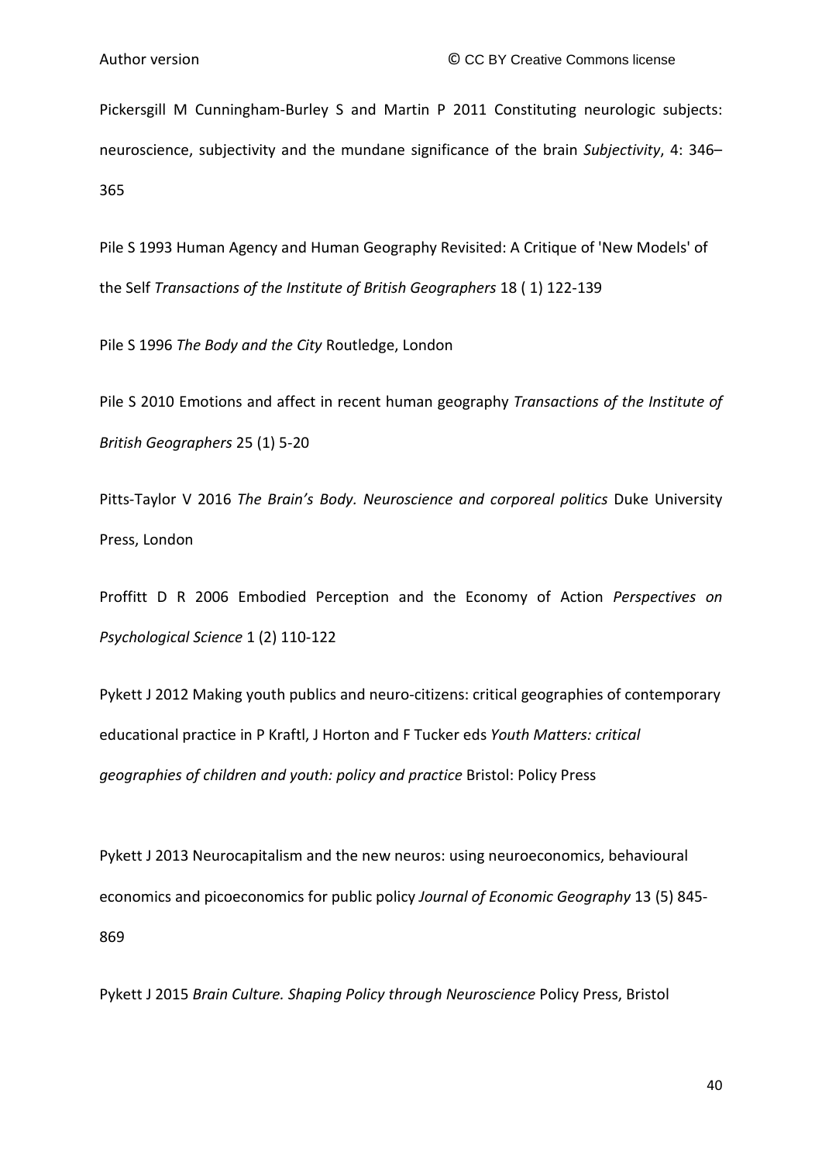Pickersgill M Cunningham-Burley S and Martin P 2011 Constituting neurologic subjects: neuroscience, subjectivity and the mundane significance of the brain *Subjectivity*, 4: 346– 365

Pile S 1993 Human Agency and Human Geography Revisited: A Critique of 'New Models' of the Self *Transactions of the Institute of British Geographers* 18 ( 1) 122-139

Pile S 1996 *The Body and the City* Routledge, London

Pile S 2010 Emotions and affect in recent human geography *Transactions of the Institute of British Geographers* 25 (1) 5-20

Pitts-Taylor V 2016 *The Brain's Body. Neuroscience and corporeal politics* Duke University Press, London

Proffitt D R 2006 Embodied Perception and the Economy of Action *Perspectives on Psychological Science* 1 (2) 110-122

Pykett J 2012 Making youth publics and neuro-citizens: critical geographies of contemporary educational practice in P Kraftl, J Horton and F Tucker eds *Youth Matters: critical geographies of children and youth: policy and practice* Bristol: Policy Press

Pykett J 2013 Neurocapitalism and the new neuros: using neuroeconomics, behavioural economics and picoeconomics for public policy *Journal of Economic Geography* 13 (5) 845- 869

Pykett J 2015 *Brain Culture. Shaping Policy through Neuroscience* Policy Press, Bristol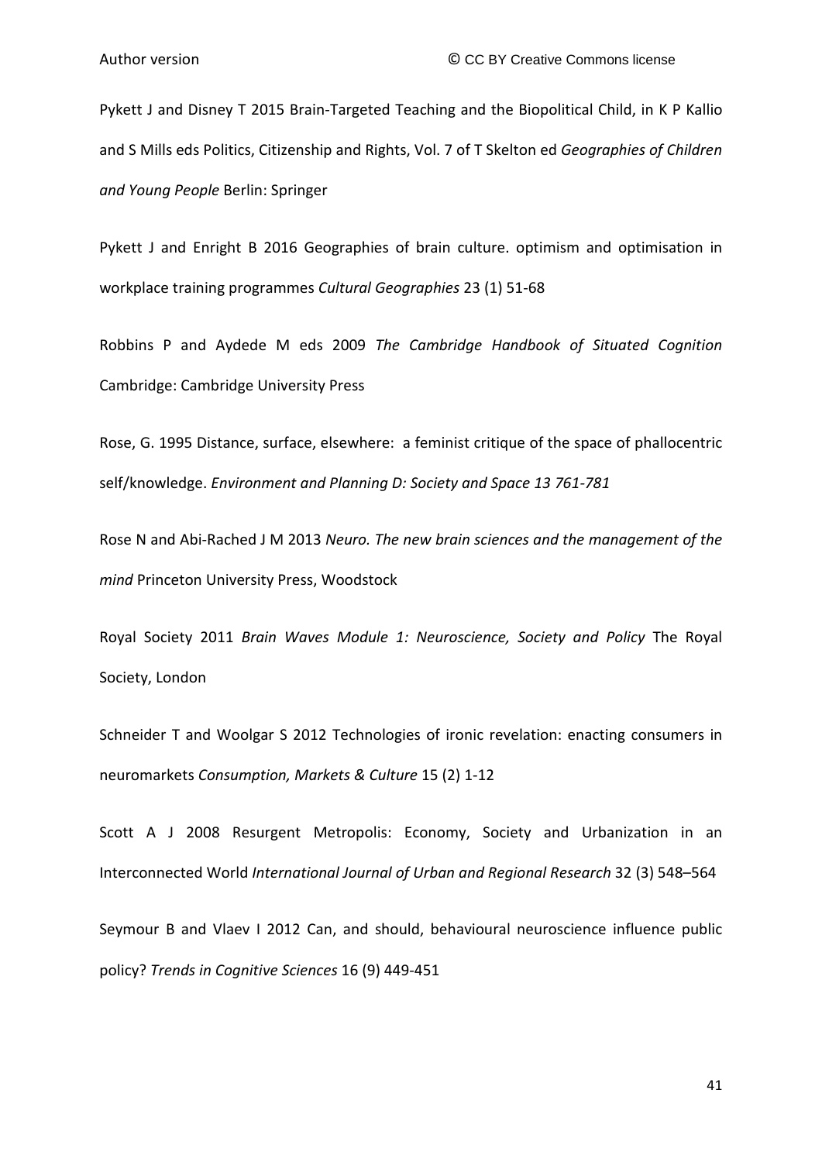Pykett J and Disney T 2015 Brain-Targeted Teaching and the Biopolitical Child, in K P Kallio and S Mills eds Politics, Citizenship and Rights, Vol. 7 of T Skelton ed *Geographies of Children and Young People* Berlin: Springer

Pykett J and Enright B 2016 Geographies of brain culture. optimism and optimisation in workplace training programmes *Cultural Geographies* 23 (1) 51-68

Robbins P and Aydede M eds 2009 *The Cambridge Handbook of Situated Cognition* Cambridge: Cambridge University Press

Rose, G. 1995 Distance, surface, elsewhere: a feminist critique of the space of phallocentric self/knowledge. *Environment and Planning D: Society and Space 13 761-781*

Rose N and Abi-Rached J M 2013 *Neuro. The new brain sciences and the management of the mind* Princeton University Press, Woodstock

Royal Society 2011 *Brain Waves Module 1: Neuroscience, Society and Policy* The Royal Society, London

Schneider T and Woolgar S 2012 Technologies of ironic revelation: enacting consumers in neuromarkets *Consumption, Markets & Culture* 15 (2) 1-12

Scott A J 2008 Resurgent Metropolis: Economy, Society and Urbanization in an Interconnected World *International Journal of Urban and Regional Research* 32 (3) 548–564

Seymour B and Vlaev I 2012 Can, and should, behavioural neuroscience influence public policy? *Trends in Cognitive Sciences* 16 (9) 449-451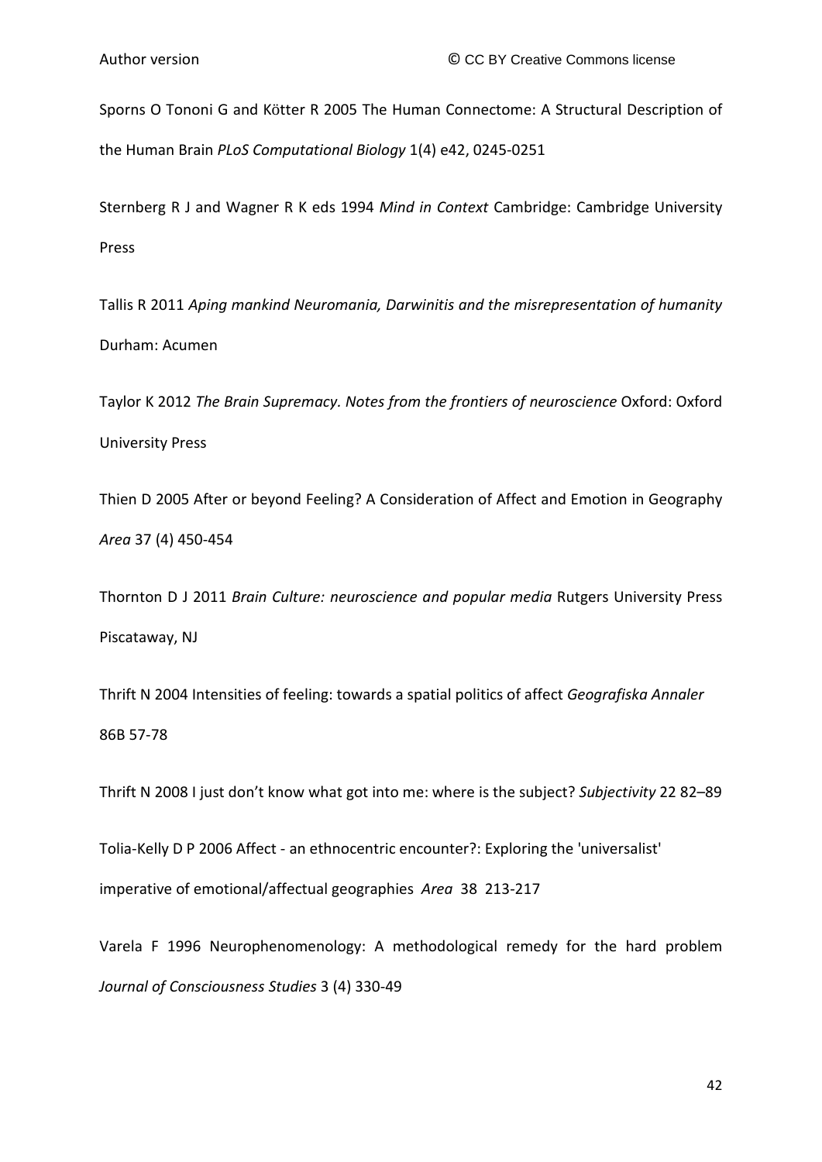Sporns O Tononi G and Kötter R 2005 The Human Connectome: A Structural Description of the Human Brain *PLoS Computational Biology* 1(4) e42, 0245-0251

Sternberg R J and Wagner R K eds 1994 *Mind in Context* Cambridge: Cambridge University Press

Tallis R 2011 *Aping mankind Neuromania, Darwinitis and the misrepresentation of humanity* Durham: Acumen

Taylor K 2012 *The Brain Supremacy. Notes from the frontiers of neuroscience* Oxford: Oxford University Press

Thien D 2005 After or beyond Feeling? A Consideration of Affect and Emotion in Geography *Area* 37 (4) 450-454

Thornton D J 2011 *Brain Culture: neuroscience and popular media* Rutgers University Press Piscataway, NJ

Thrift N 2004 Intensities of feeling: towards a spatial politics of affect *Geografiska Annaler*  86B 57-78

Thrift N 2008 I just don't know what got into me: where is the subject? *Subjectivity* 22 82–89

Tolia-Kelly D P 2006 Affect - an ethnocentric encounter?: Exploring the 'universalist' imperative of emotional/affectual geographies *Area* 38 213-217

Varela F 1996 Neurophenomenology: A methodological remedy for the hard problem *Journal of Consciousness Studies* 3 (4) 330-49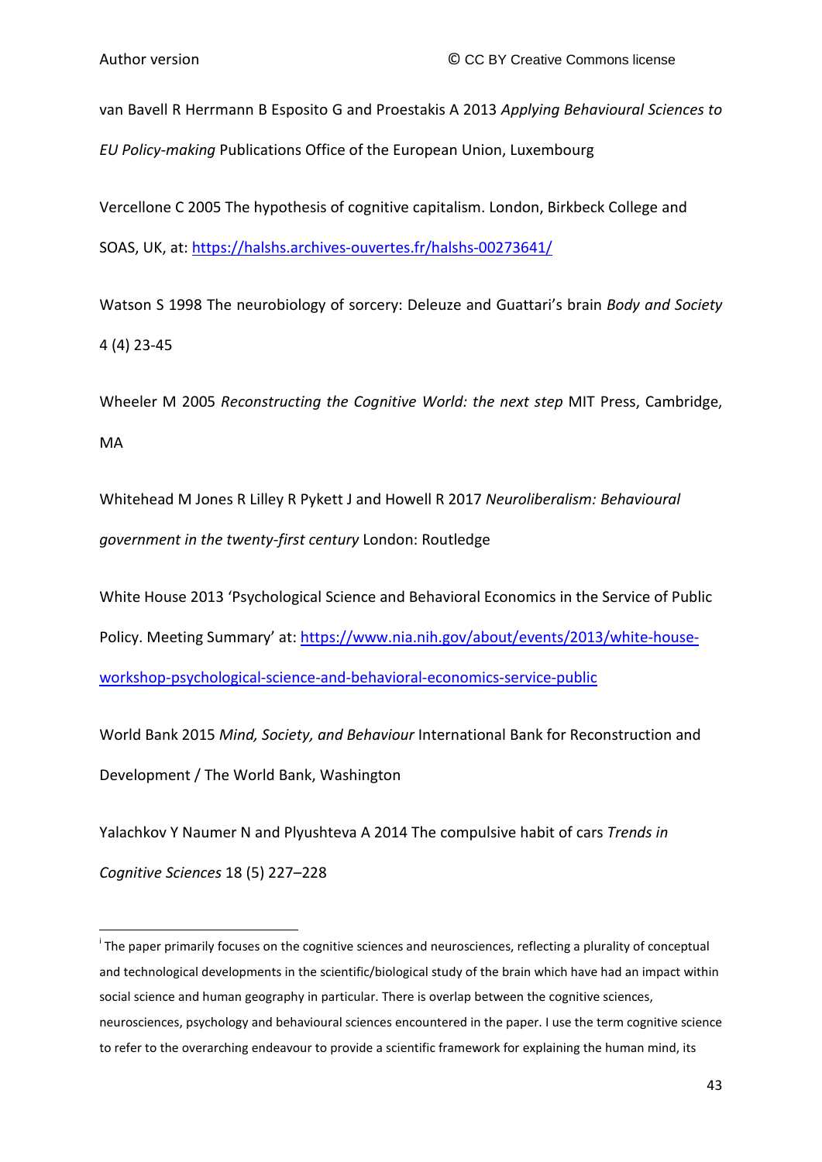van Bavell R Herrmann B Esposito G and Proestakis A 2013 *Applying Behavioural Sciences to EU Policy-making* Publications Office of the European Union, Luxembourg

Vercellone C 2005 The hypothesis of cognitive capitalism. London, Birkbeck College and SOAS, UK, at: <https://halshs.archives-ouvertes.fr/halshs-00273641/>

Watson S 1998 The neurobiology of sorcery: Deleuze and Guattari's brain *Body and Society* 4 (4) 23-45

Wheeler M 2005 *Reconstructing the Cognitive World: the next step* MIT Press, Cambridge, MA

Whitehead M Jones R Lilley R Pykett J and Howell R 2017 *Neuroliberalism: Behavioural government in the twenty-first century* London: Routledge

White House 2013 'Psychological Science and Behavioral Economics in the Service of Public Policy. Meeting Summary' at[: https://www.nia.nih.gov/about/events/2013/white-house](https://www.nia.nih.gov/about/events/2013/white-house-workshop-psychological-science-and-behavioral-economics-service-public)[workshop-psychological-science-and-behavioral-economics-service-public](https://www.nia.nih.gov/about/events/2013/white-house-workshop-psychological-science-and-behavioral-economics-service-public)

World Bank 2015 *Mind, Society, and Behaviour* International Bank for Reconstruction and Development / The World Bank, Washington

Yalachkov Y Naumer N and Plyushteva A 2014 The compulsive habit of cars *Trends in* 

*Cognitive Sciences* 18 (5) 227–228

 $\overline{\phantom{a}}$ 

<sup>&</sup>lt;sup>i</sup> The paper primarily focuses on the cognitive sciences and neurosciences, reflecting a plurality of conceptual and technological developments in the scientific/biological study of the brain which have had an impact within social science and human geography in particular. There is overlap between the cognitive sciences, neurosciences, psychology and behavioural sciences encountered in the paper. I use the term cognitive science to refer to the overarching endeavour to provide a scientific framework for explaining the human mind, its